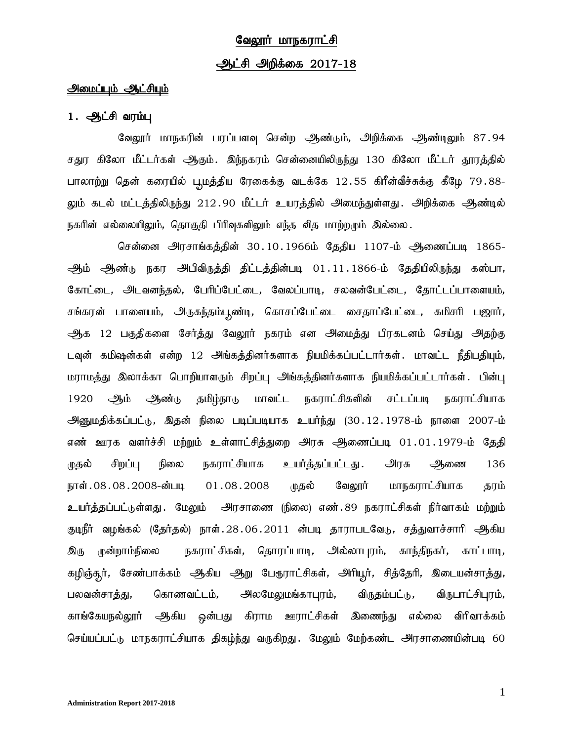# வேலூர் மாநகராட்சி <u>ஆட்சி அ</u>றிக்கை 2017-18

#### அமைப்பும் ஆட்சியும்

#### $1.$   $\bigoplus$   $I$ சி வரம்பு

வேலூர் மாநகரின் பரப்பளவு சென்ற ஆண்டும், அறிக்கை ஆண்டிலும் 87.94 சதுர கிலோ மீட்டர்கள் ஆகும். இந்நகரம் சென்னையிலிருந்து 130 கிலோ மீட்டர் தூரத்தில் பாலாற்று தென் கரையில் பூமத்திய ரேகைக்கு வடக்கே 12.55 கிரீன்வீச்சுக்கு கீழே 79.88-லும் கடல் மட்டத்திலிருந்து 212.90 மீட்டர் உயரத்தில் அமைந்துள்ளது. அிிக்கை ஆண்டில் நகரின் எல்லையிலும், தொகுதி பிரிவுகளிலும் எந்த வித மாற்றமும் இல்லை.

சென்னை அரசாங்கத்தின் 30.10.1966ம் தேதிய 1107-ம் ஆணைப்படி 1865-ஆம் ஆண்டு நகர அபிவிருத்தி திட்டத்தின்படி 01.11.1866-ம் தேதியிலிருந்து கஸ்பா, கோட்டை, அடவனந்தல், பேரிப்பேட்டை, வேலப்பாடி, சலவன்பேட்டை, தோட்டப்பாளையம், சங்கரன் பாளையம், அருகந்தம்பூண்டி, கொசப்பேட்டை சைதாப்பேட்டை, கமிசரி பஜார், ஆக 12 பகுதிகளை சேர்த்து வேலூர் நகரம் என அமைத்து பிரகடனம் செய்து அதற்கு டவுன் கமிஷன்கள் என்ற 12 அங்கத்தினர்களாக நியமிக்கப்பட்டார்கள். மாவட்ட நீதிபதியும், மராமத்து இலாக்கா பொறியாளரும் சிறப்பு அங்கத்தினர்களாக நியமிக்கப்பட்டார்கள். பின்பு 1920 ஆம் ஆண்டு தமிழ்நாடு மாவட்ட நகராட்சிகளின் சட்டப்படி நகராட்சியாக <u>அனு</u>மதிக்கப்பட்டு, இதன் நிலை படிப்படியாக உயர்ந்து (30.12.1978-ம் நாளை 2007-ம் எண் ஊரக வளர்ச்சி மற்றும் உள்ளாட்சித்துறை அரசு ஆணைப்படி 01.01.1979-ம் தேதி முதல் சிறப்பு நிலை நகராட்சியாக உயர்த்தப்பட்டது. அரசு ஆணை 136 நாள்.08.08.2008-ன்படி 01.08.2008 முதல் வேலூர் மாநகராட்சியாக தரம் உயர்த்தப்பட்டுள்ளது .மேலும் அரசாணை (நிலை) எண். 89 நகராட்சிகள் நிர்வாகம் மற்றும் குடிநீர் வழங்கல் (தேர்தல்) நாள்.28.06.2011 ன்படி தாராபடவேடு, சத்துவாச்சாரி ஆகிய <u>இரு</u> முன்றாம்நிலை நகராட்சிகள், தொரப்பாடி, அல்லாபுரம், காந்திநகர், காட்பாடி, கழிஞ்சுர், சேண்பாக்கம் ஆகிய ஆறு பேருராட்சிகள், அரியூர், சித்தேரி, இடையன்சாத்து, பலவன்சாத்து, கொணவட்டம், அலமேலுமங்காபுரம், விருதம்பட்டு, விருபாட்சிபுரம், காங்கேயநல்லூர் ஆகிய ஒன்பது கிராம ஊராட்சிகள் இணைந்து எல்லை விரிவாக்கம் செய்யப்பட்டு மாநகராட்சியாக திகழ்ந்து வருகிறது. மேலும் மேற்கண்ட அரசாணையின்படி 60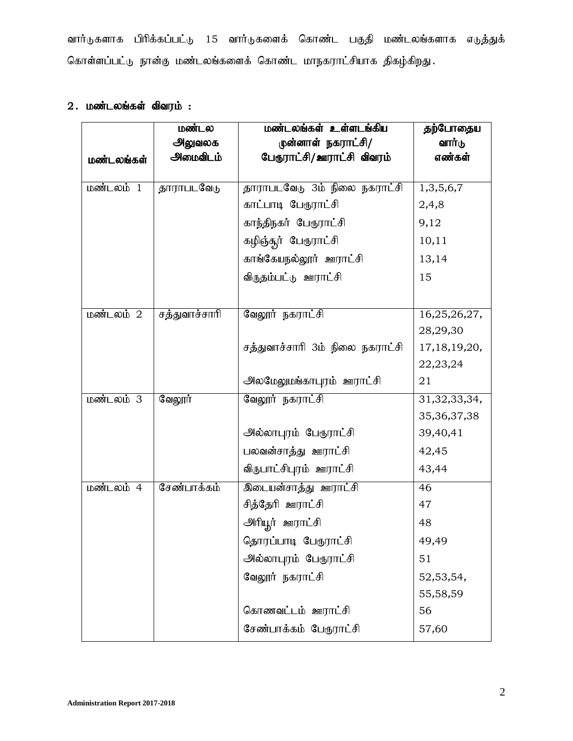வார்டுகளாக பிரிக்கப்பட்டு 15 வார்டுகளைக் கொண்ட பகுதி மண்டலங்களாக எடுத்துக் கொள்ளப்பட்டு நான்கு மண்டலங்களைக் கொண்ட மாநகராட்சியாக திகழ்கிறது.

### $2.$  மண்டலங்கள் விவரம் :

|            | மண்டல         | மண்டலங்கள் உள்ளடங்கிய            | தற்போதைய        |
|------------|---------------|----------------------------------|-----------------|
|            | அலுவலக        | முன்னாள் நகராட்சி/               | வார்டு          |
| மண்டலங்கள் | அமைவிடம்      | பேரூராட்சி/ஊராட்சி விவரம்        | எண்கள்          |
|            |               |                                  |                 |
| மண்டலம் 1  | தாராபடவேடு    | தாராபடவேடு 3ம் நிலை நகராட்சி     | 1,3,5,6,7       |
|            |               | காட்பாடி பேரூராட்சி              | 2,4,8           |
|            |               | காந்திநகர் பேரூராட்சி            | 9,12            |
|            |               | கழிஞ்தூர் பேரூராட்சி             | 10,11           |
|            |               | காங்கேயநல்லூர் ஊராட்சி           | 13,14           |
|            |               | விருதம்பட்டு ஊராட்சி             | 15              |
|            |               |                                  |                 |
| மண்டலம் 2  | சத்துவாச்சாரி | வேலூர் நகராட்சி                  | 16,25,26,27,    |
|            |               |                                  | 28,29,30        |
|            |               | சத்துவாச்சாரி 3ம் நிலை நகராட்சி  | 17, 18, 19, 20, |
|            |               |                                  | 22, 23, 24      |
|            |               | <u> அலமேலுமங்காபுரம் ஊராட்சி</u> | 21              |
| மண்டலம் 3  | வேலூர்        | வேலூர் நகராட்சி                  | 31,32,33,34,    |
|            |               |                                  | 35, 36, 37, 38  |
|            |               | அல்லாபுரம் பேரூராட்சி            | 39,40,41        |
|            |               | பலவன்சாத்து ஊராட்சி              | 42,45           |
|            |               | விருபாட்சிபுரம் ஊராட்சி          | 43,44           |
| மண்டலம் 4  | சேண்பாக்கம்   | <u> இடையன்சாத்து ஊராட்சி</u>     | 46              |
|            |               | சித்தேரி ஊராட்சி                 | 47              |
|            |               | <u>அரியூர் ஊராட்</u> சி          | 48              |
|            |               | தொரப்பாடி பேரூராட்சி             | 49,49           |
|            |               | அல்லாபுரம் பேரூராட்சி            | 51              |
|            |               | வேலூர் நகராட்சி                  | 52,53,54,       |
|            |               |                                  | 55,58,59        |
|            |               | கொணவட்டம் ஊராட்சி                | 56              |
|            |               | சேண்பாக்கம் பேரூராட்சி           | 57,60           |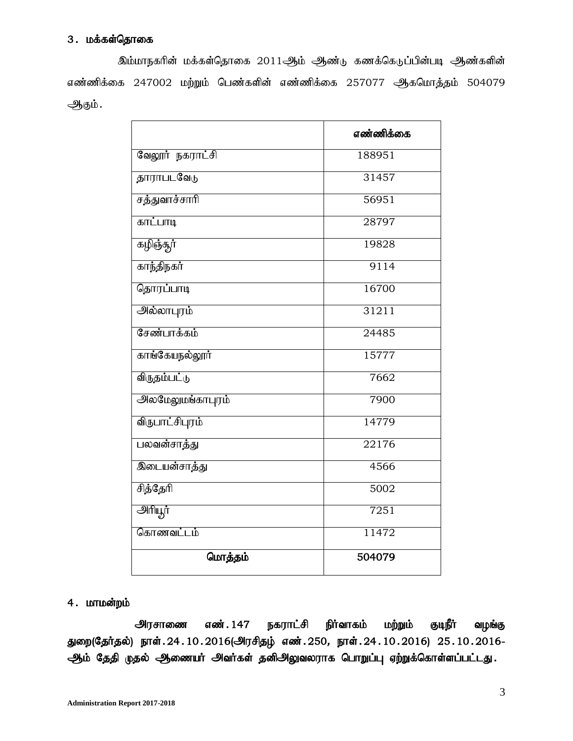### 3. மக்கள்தொகை

இம்மாநகரின் மக்கள்தொகை 2011ஆம் ஆண்டு கணக்கெடுப்பின்படி ஆண்களின் எண்ணிக்கை 247002 மற்றும் பெண்களின் எண்ணிக்கை 257077 ஆகமொத்தம் 504079 ஆகும்.

|                          | எண்ணிக்கை |
|--------------------------|-----------|
| வேலூர் நகராட்சி          | 188951    |
| <u>தாராபடவேடு</u>        | 31457     |
| சத்துவாச்சாரி            | 56951     |
| காட்பாடி                 | 28797     |
| கழிஞ்தூர்                | 19828     |
| காந்திநகர்               | 9114      |
| தொரப்பாடி                | 16700     |
| <u>அல்லாபுரம்</u>        | 31211     |
| சேண்பாக்கம்              | 24485     |
| காங்கேயநல்லூர்           | 15777     |
| விருதம்பட்டு             | 7662      |
| <u> அலமேலுமங்காபுரம்</u> | 7900      |
| <u>விருபாட்சிபுரம்</u>   | 14779     |
| பலவன்சாத்து              | 22176     |
| <u>இடையன்சாத்து</u>      | 4566      |
| சித்தேரி                 | 5002      |
| <b>அரியூர்</b>           | 7251      |
| கொணவட்டம்                | 11472     |
| மொத்தம்                  | 504079    |

### $4.$  மாமன்றம்

அரசாணை எண்.147 நகராட்சி நிர்வாகம் மற்றும் குடிநீர் வழங்கு துறை(தேர்தல்) நாள். 24.10.2016(அரசிதழ் எண். 250, நாள். 24.10.2016) 25.10.2016-ஆம் தேதி முதல் ஆணையர் அவர்கள் தனிஅலுவலராக பொறுப்பு ஏற்றுக்கொள்ளப்பட்டது.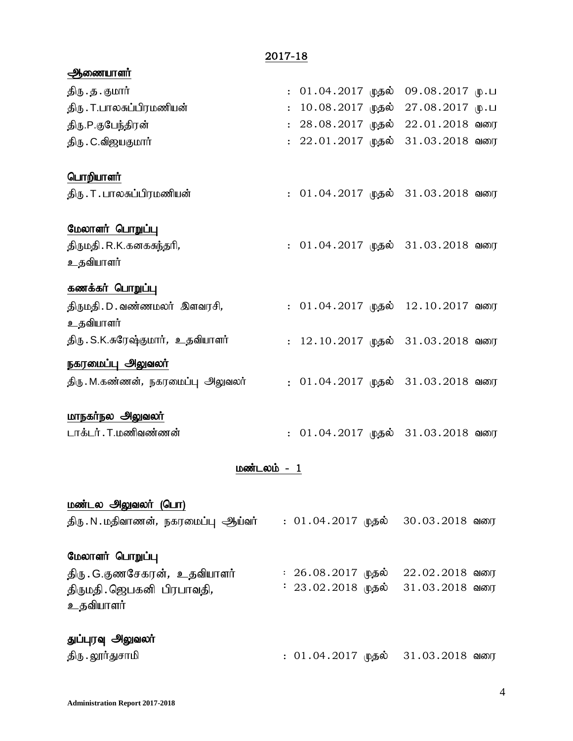2017-18

| திரு . த . குமார்<br>$: 01.04.2017$ முதல் 09.08.2017 மு.ப<br>திரு . T.பாலசுப்பிரமணியன்<br>10.08.2017 முதல் 27.08.2017 மு.ப<br>$\ddot{\phantom{a}}$ |  |
|----------------------------------------------------------------------------------------------------------------------------------------------------|--|
|                                                                                                                                                    |  |
|                                                                                                                                                    |  |
| : 28.08.2017 முதல் 22.01.2018 வரை<br>திரு.P.குபேந்திரன்                                                                                            |  |
| : 22.01.2017 முதல் 31.03.2018 வரை<br>திரு . C.விஜயகுமார்                                                                                           |  |
|                                                                                                                                                    |  |
| பொறியாளர்                                                                                                                                          |  |
| திரு . T . பாலசுப்பிரமணியன்<br>: 01.04.2017 முதல் 31.03.2018 வரை                                                                                   |  |
| <u>மேலாளர் பொறுப்பு</u>                                                                                                                            |  |
| திருமதி . R.K.கனகசுந்தரி <i>,</i><br>: 01.04.2017 முதல் 31.03.2018 வரை                                                                             |  |
| உதவியாளர்                                                                                                                                          |  |
| <u>கணக்கர் பொறுப்பு</u>                                                                                                                            |  |
| திருமதி.D. வண்ணமலர் இளவரசி,<br>:  01.04.2017  முதல்   12.10.2017  வரை                                                                              |  |
| உதவியாளர்                                                                                                                                          |  |
| திரு . S.K.சுரேஷ்குமார் <i>, உ</i> தவியாளர்<br>: 12.10.2017 முதல் 31.03.2018 வரை                                                                   |  |
| நகரமைப்பு அலுவலர்                                                                                                                                  |  |
| திரு . M.கண்ணன், நகரமைப்பு  அலுவலர்<br>: 01.04.2017 முதல் 31.03.2018 வரை                                                                           |  |
|                                                                                                                                                    |  |
| <u>மாநகர்நல அலுவலர்</u>                                                                                                                            |  |
| டாக்டர் . T.மணிவண்ணன்<br>: 01.04.2017 முதல் 31.03.2018 வரை                                                                                         |  |
|                                                                                                                                                    |  |
| மண்டலம் - 1                                                                                                                                        |  |
| மண்டல அலுவலர் (பொ)                                                                                                                                 |  |
| திரு.N.மதிவாணன், நகரமைப்பு ஆய்வர்<br>: 01.04.2017 முதல்<br>30.03.2018 வரை                                                                          |  |
|                                                                                                                                                    |  |
| மேலாளர் பொறுப்பு                                                                                                                                   |  |
| திரு . G.குணசேகரன் <i>,  உ</i> தவியாளர்<br>: 26.08.2017 முதல்<br>22.02.2018 வரை                                                                    |  |
| 23.02.2018 முதல்<br>$31.03.2018$ வரை<br>திருமதி. ஜெபகனி பிரபாவதி,                                                                                  |  |
| உதவியாளர்                                                                                                                                          |  |
| துப்புரவு அலுவலர்                                                                                                                                  |  |

jpU.Y]h;Jrhkp : 01.04.2017 Kjy; 31.03.2018 tiu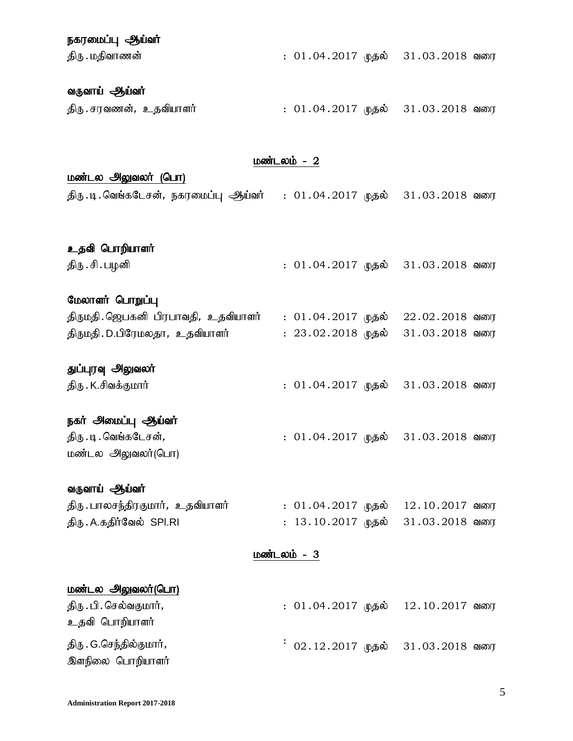# நகரமைப்பு ஆய்வர் jpU.kjpthzd; : 01.04.2017 Kjy; 31.03.2018 tiu

# வருவாய் **ஆ**ய்வர்

| திரு . சரவணன்,   உதவியாளர் |  | : 01.04.2017 முதல்   31.03.2018 வரை |  |
|----------------------------|--|-------------------------------------|--|
|----------------------------|--|-------------------------------------|--|

#### $L$ ண்டலம் -  $2$

### மண்டல அலுவலர் (பொ)

| திரு .டி .வெங்கடேசன், நகரமைப்பு ஆய்வர்     :  01 . 04 . 2017  முதல்    31 . 03 . 2018  வரை |  |  |  |  |
|--------------------------------------------------------------------------------------------|--|--|--|--|
|--------------------------------------------------------------------------------------------|--|--|--|--|

# உதவி பொறியாளர்

jpU.rp.gHdp : 01.04.2017 Kjy; 31.03.2018 tiu

### மேலாளர் பொறுப்பு

| திருமதி. ஜெபகனி பிரபாவதி, உதவியாளர் |  | $: 01.04.2017$ முதல் $22.02.2018$ வரை   |  |
|-------------------------------------|--|-----------------------------------------|--|
| திருமதி . D.பிரேமலதா, உதவியாளர்     |  | $: 23.02.2018$ முதல் $: 31.03.2018$ வரை |  |

### துப்புரவு அலுவலர்

jpU.K.rptf;Fkhh; : 01.04.2017 Kjy; 31.03.2018 tiu

### நகர் அமைப்பு ஆய்வர்

| திரு . டி . வெங்கடேசன், | $: 01.04.2017$ முதல் $: 31.03.2018$ வரை |  |  |
|-------------------------|-----------------------------------------|--|--|
| மண்டல அலுவலர்(பொ)       |                                         |  |  |

### வருவாய் ஆய்வர்

| திரு . பாலசந்திரகுமார்,   உதவியாளர் | $: 01.04.2017$ முதல் $12.10.2017$ வரை   |  |  |
|-------------------------------------|-----------------------------------------|--|--|
| திரு . A.கதிர்வேல் SPI.RI           | $: 13.10.2017$ முதல் $: 31.03.2018$ வரை |  |  |

#### மண்டலம் - 3

### மண்டல அலுவலர்(பொ)

திரு. பி. செல்வகுமார், உதவி பொறியாளர் திரு . G.செந்தில்குமார், இளநிலை பொறியாளர் : 01.04.2017 முதல் 12.10.2017 வரை .<br>: 02.12.2017 முதல் 31.03.2018 வரை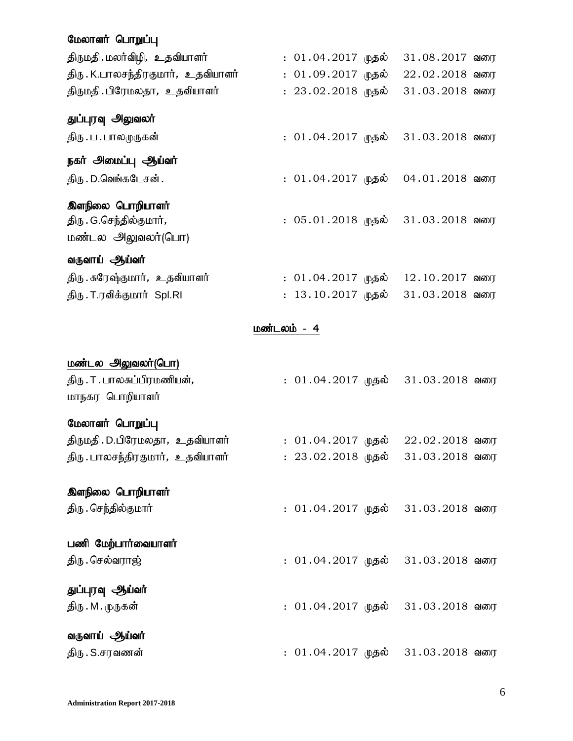### மேலாளர் பொறுப்பு

| திருமதி மலர்விழி, உதவியாளர்          |             | : 01.04.2017 முதல்   | $31.08.2017$ வரை |  |
|--------------------------------------|-------------|----------------------|------------------|--|
| திரு . K.பாலசந்திரகுமார், உதவியாளர்  |             | $: 01.09.2017$ முதல் | $22.02.2018$ வரை |  |
| திருமதி. பிரேமலதா, உதவியாளர்         |             | $: 23.02.2018$ முதல் | $31.03.2018$ வரை |  |
| துப்புரவு அலுவலர்                    |             |                      |                  |  |
| திரு . ப . பாலமுருகன்                |             | : 01.04.2017 முதல்   | 31.03.2018 வரை   |  |
| நகர் அமைப்பு ஆய்வர்                  |             |                      |                  |  |
| திரு . D.வெங்கடேசன் .                |             | : 01.04.2017 முதல்   | $04.01.2018$ வரை |  |
| இளநிலை பொறியாளர்                     |             |                      |                  |  |
| திரு . G.செந்தில்குமார் <i>,</i>     |             | : 05.01.2018 முதல்   | 31.03.2018 வரை   |  |
| மண்டல அலுவலர்(பொ)                    |             |                      |                  |  |
| வருவாய் ஆய்வர்                       |             |                      |                  |  |
| திரு . சுரேஷ்குமார்,   உதவியாளர்     |             | : 01.04.2017 முதல்   | $12.10.2017$ வரை |  |
| திரு. T.ரவிக்குமார் Spl.RI           |             | : 13.10.2017 முதல்   | 31.03.2018 வரை   |  |
|                                      | மண்டலம் - 4 |                      |                  |  |
| <u> மண்டல அலுவலர்(பொ)</u>            |             |                      |                  |  |
| திரு . T . பாலசுப்பிரமணியன் <i>,</i> |             | : 01.04.2017 முதல்   | 31.03.2018 வரை   |  |
| மாநகர பொறியாளர்                      |             |                      |                  |  |
| மேலாளர் பொறுப்பு                     |             |                      |                  |  |
| திருமதி . D.பிரேமலதா,   உதவியாளர்    |             | : 01.04.2017 முதல்   | 22.02.2018 வரை   |  |
| திரு . பாலசந்திரகுமார்,   உதவியாளர்  |             | : 23.02.2018 முதல்   | $31.03.2018$ வரை |  |
| இளநிலை பொறியாளர்                     |             |                      |                  |  |
| திரு . செந்தில்குமார்                |             | : 01.04.2017 முதல்   | $31.03.2018$ வரை |  |
|                                      |             |                      |                  |  |
| பணி மேற்பார்வையாளர்                  |             |                      |                  |  |
| திரு . செல்வராஜ்                     |             | : 01.04.2017 முதல்   | 31.03.2018 வரை   |  |
|                                      |             |                      |                  |  |

துப்புரவு ஆய்வர் jpU.M.KUfd; : 01.04.2017 Kjy; 31.03.2018 tiu

வருவாய் ஆய்வர்

jpU.S.rutzd; : 01.04.2017 Kjy; 31.03.2018 tiu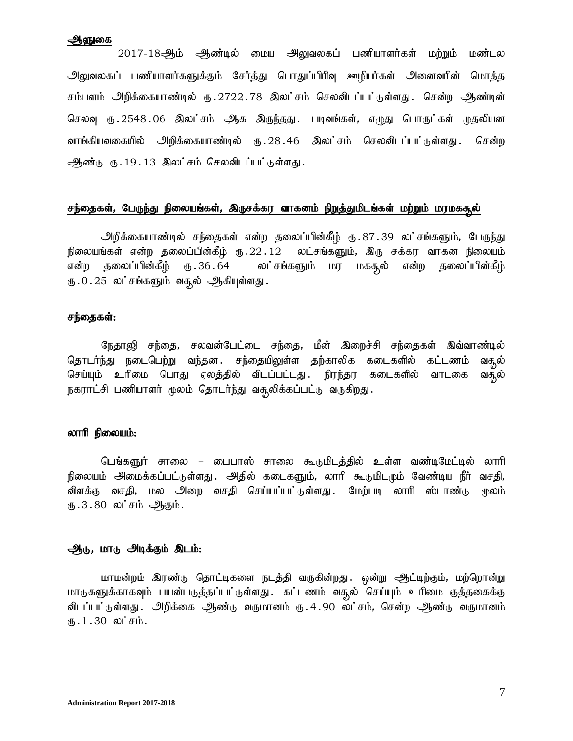#### ஆளுகை

2017-18ஆம் ஆண்டில் மைய அலுவலகப் பணியாளர்கள் மற்றும் மண்டல அலுவலகப் பணியாளர்களுக்கும் சேர்த்து பொதுப்பிரிவு ஊழியர்கள் அனைவரின் மொத்த சம்பளம் அறிக்கையாண்டில் ரு.2722.78 இலட்சம் செலவிடப்பட்டுள்ளது. சென்ற ஆண்டின் செலவு ரு.2548.06 இலட்சம் ஆக இருந்தது. படிவங்கள், எழுது பொருட்கள் முதலியன வாங்கியவகையில் அறிக்கையாண்டில் ரு.28.46 இலட்சம் செலவிடப்பட்டுள்ளது. சென்ற ஆண்டு ரு.19.13 இலட்சம் செலவிடப்பட்டுள்ளது.

#### <u>சந்தைகள், பேருந்து நிலையங்கள், இருசக்கர வாகனம் நிறுத்துமிடங்கள் மற்றும் மரமகசூல்</u>

<u>அ</u>றிக்கையாண்டில் சந்தைகள் என்ற தலைப்பின்கீழ் ரு.87.39 லட்சங்களும், பேருந்து நிலையங்கள் என்ற தலைப்பின்கீழ் ரு.22.12 லட்சங்களும், இரு சக்கர வாகன நிலையம் என்ற தலைப்பின்கீழ் ரு.36.64 லட்சங்களும் மர மகசூல் என்ற தலைப்பின்கீழ் ரு.0.25 லட்சங்களும் வசூல் ஆகியுள்ளது.

#### சந்தைகள்:

நேதாஜி சந்தை, சலவன்பேட்டை சந்தை, மீன் இறைச்சி சந்தைகள் இவ்வாண்டில் தொடர்ந்து நடைபெற்று வந்தன. சந்தையிலுள்ள தற்காலிக கடைகளில் கட்டணம் வசூல் செய்யும் உரிமை பொது ஏலத்தில் விடப்பட்டது. நிரந்தர கடைகளில் வாடகை வசூல் நகராட்சி பணியாளர் மூலம் தொடர்ந்து வசூலிக்கப்பட்டு வருகிறது.

#### லாரி நிலையம்:

பெங்களுர் சாலை – பைபாஸ் சாலை கூடுமிடத்தில் உள்ள வண்டிமேட்டில் லாரி நிலையம் அமைக்கப்பட்டுள்ளது . அதில் கடைகளும், லாரி கூடுமிடமும் வேண்டிய நீர் வசதி, விளக்கு வசகி, மல அறை வசகி செய்யப்பட்டுள்ளது. மேற்படி லாரி ஸ்டாண்டு மூலம் ரு. $3.80$  லட்சம் ஆகும்.

#### ஆடு, மாடு அடிக்கும் இடம்:

மாமன்றம் இரண்டு தொட்டிகளை நடத்தி வருகின்றது. ஒன்று ஆட்டிற்கும், மற்றொன்று மாடுகளுக்காகவும் பயன்படுத்தப்பட்டுள்ளது .கட்டணம் வசூல் செய்யும் உரிமை குத்தகைக்கு விடப்பட்டுள்ளது . அிறக்கை ஆண்டு வருமானம் ரு.4.90 லட்சம், சென்ற ஆண்டு வருமானம்  $\mathbf{I} \cdot 1.30$  லட்சம்.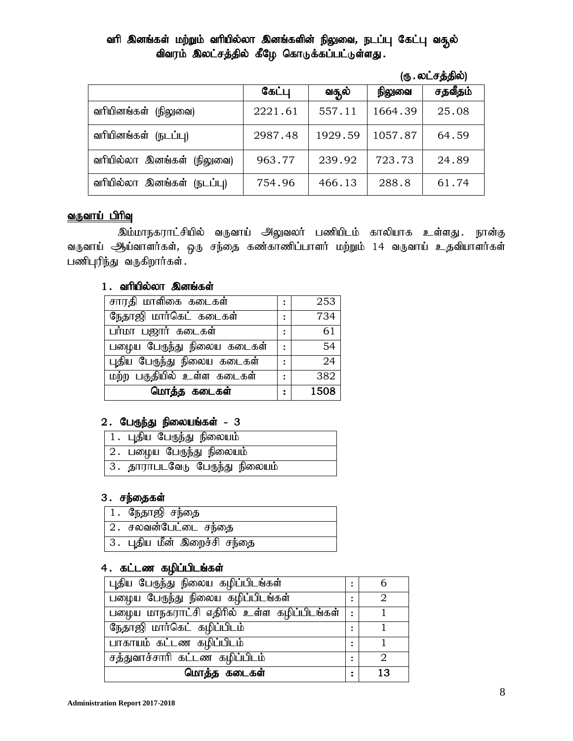### வரி இனங்கள் மற்றும் வரியில்லா இனங்களின் நிலுவை, நடப்பு கேட்பு வதூல் விவரம் இலட்சத்தில் கீழே கொடுக்கப்பட்டுள்ளது.

| (ரு . லட்சத்தில்) |
|-------------------|
|                   |

|                            | கேட்பு  | வசூல்   | நிலுவை  | சதவீதம் |
|----------------------------|---------|---------|---------|---------|
| வரியினங்கள்<br>(நிலுவை)    | 2221.61 | 557.11  | 1664.39 | 25.08   |
| வரியினங்கள் (நடப்பு)       | 2987.48 | 1929.59 | 1057.87 | 64.59   |
| வரியில்லா இனங்கள் (நிலுவை) | 963.77  | 239.92  | 723.73  | 24.89   |
| வரியில்லா இனங்கள் (நடப்பு) | 754.96  | 466.13  | 288.8   | 61.74   |

#### வருவாய் பிரிவு

இம்மாநகராட்சியில் வருவாய் அலுவலர் பணியிடம் காலியாக உள்ளது. நான்கு வருவாய் ஆய்வாளர்கள், ஒரு சந்தை கண்காணிப்பாளர் மற்றும் 14 வருவாய் உதவியாளர்கள்  $L$ ணிபுரிந்து வருகிறார்கள்.

### $1$ . வரியில்லா இனங்கள்

| சாரதி மாளிகை கடைகள்         | :       | 253  |
|-----------------------------|---------|------|
| நேதாஜி மார்கெட் கடைகள்      |         | 734  |
| பர்மா பஜார் கடைகள்          |         | 61   |
| பழைய பேருந்து நிலைய கடைகள்  | $\cdot$ | 54   |
| புதிய பேருந்து நிலைய கடைகள் |         | 24   |
| மற்ற பகுதியில் உள்ள கடைகள்  |         | 382  |
| மொத்த கடைகள்                |         | 1508 |

### $2.$  பேருந்து நிலையங்கள் -  $3$

| 1 . புதிய பேருந்து நிலையம்      |
|---------------------------------|
| 2 .பழைய பேருந்து நிலையம்        |
| 3 . தாராபடவேடு பேருந்து நிலையம் |

### 3. சந்தைகள்

| 1.நேதாஜி சந்தை               |
|------------------------------|
| 2. சலவன்பேட்டை சந்தை         |
| 3 . புதிய மீன் இறைச்சி சந்தை |

### 4. கட்டண கழிப்பிடங்கள்

| புதிய பேருந்து நிலைய கழிப்பிடங்கள்         | $\bullet$      |    |
|--------------------------------------------|----------------|----|
| பழைய பேருந்து நிலைய கழிப்பிடங்கள்          |                |    |
| பழைய மாநகராட்சி எதிரில் உள்ள கழிப்பிடங்கள் | $\mathsf{L}$ : |    |
| நேதாஜி மார்கெட் கழிப்பிடம்                 |                |    |
| பாகாயம் கட்டண கழிப்பிடம்                   |                |    |
| சத்துவாச்சாரி கட்டண கழிப்பிடம்             |                | 2  |
| மொத்த கடைகள்                               | $\ddot{\cdot}$ | 13 |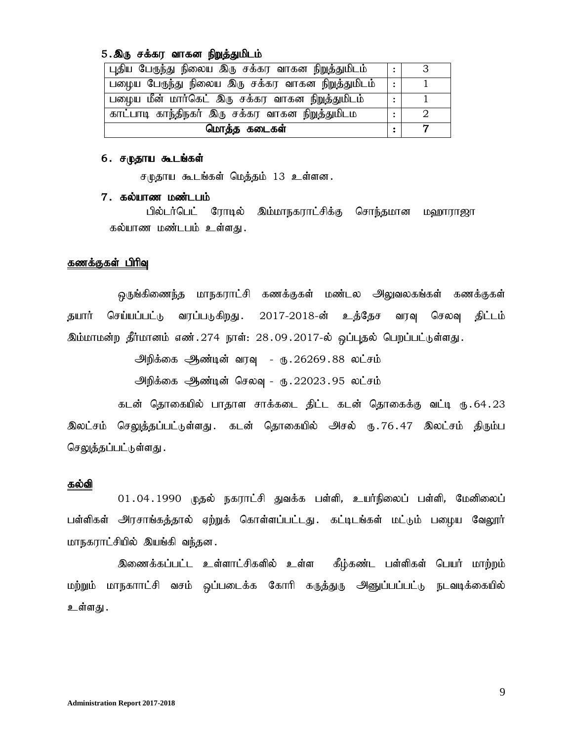#### 5.இரு சக்கர வாகன நிறுத்துமிடம்

| <sup> </sup> புதிய பேருந்து நிலைய இரு சக்கர வாகன நி <u>றுத்துமிடம்</u> |           |  |
|------------------------------------------------------------------------|-----------|--|
| பழைய பேருந்து நிலைய இரு சக்கர வாகன நிறுத்துமிடம்                       | $\bullet$ |  |
| பழைய மீன் மார்கெட் இரு சக்கர வாகன நிறுத்துமிடம்                        |           |  |
| காட்பாடி காந்திநகர் இரு சக்கர வாகன நிறுத்துமிடம                        |           |  |
| மொத்த கடைகள்                                                           |           |  |

#### 6. சமுதாய கூடங்கள்

சமுதாய கூடங்கள் மெத்தம் 13 உள்ளன.

#### 7. கல்யாண மண்டபம்

பில்டர்பெட் ரோடில் இம்மாநகராட்சிக்கு சொந்தமான மஹாராஜா கல்யாண மண்டபம் உள்ளது.

#### கணக்குகள் பிரிவு

ஒருங்கிணைந்த மாநகராட்சி கணக்குகள் மண்டல அலுவலகங்கள் கணக்குகள் தயார் செய்யப்பட்டு வரப்படுகிறது. 2017-2018-ன் உத்தேச வரவு செலவு திட்டம் <u>இம்மாமன்ற தீர்மானம் எண்.274 நாள்: 28.09.2017-ல் ஒப்புத</u>ல் பெறப்பட்டுள்ளது.

> அிந்கை ஆண்டின் வரவு - ரு. $26269.88$  லட்சம் <u>அ</u>றிக்கை ஆண்டின் செலவு - ரு.22023.95 லட்சம்

கடன் தொகையில் பாதாள சாக்கடை திட்ட கடன் தொகைக்கு வட்டி ரு.64.23 இலட்சம் செலுத்தப்பட்டுள்ளது. கடன் தொகையில் அசல் ரு.76.47 இலட்சம் திரும்ப செலுத்தப்பட்டுள்ளது .

#### கல்வி

 $01.04.1990$  முதல் நகராட்சி துவக்க பள்ளி, உயர்நிலைப் பள்ளி, மேனிலைப் பள்ளிகள் அரசாங்கத்தால் ஏற்றுக் கொள்ளப்பட்டது. கட்டிடங்கள் மட்டும் பழைய வேலூர் மாநகராட்சியில் இயங்கி வந்தன.

இணைக்கப்பட்ட உள்ளாட்சிகளில் உள்ள கீழ்கண்ட பள்ளிகள் பெயர் மாற்றம் மற்றும் மாநகாாட்சி வசம் ஒப்படைக்க கோரி கருத்துரு அனுப்பப்பட்டு நடவடிக்கையில் உள்ளது .

9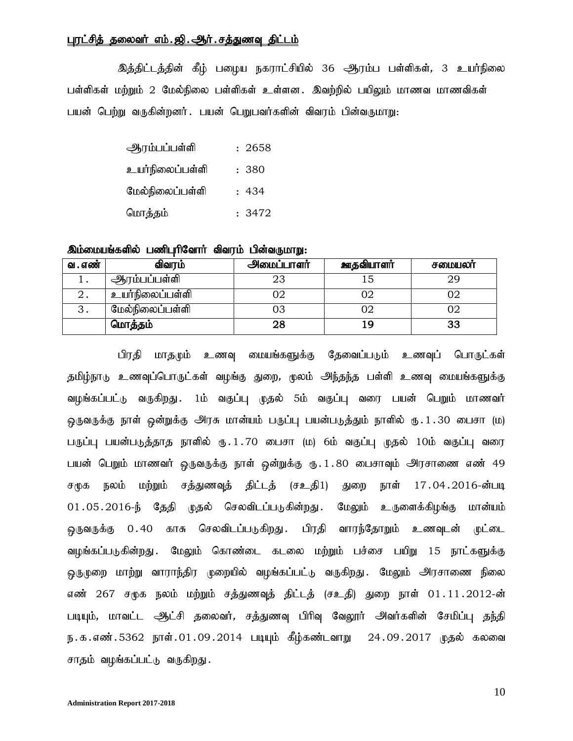#### புரட்சித் தலைவர் எம்.ஜி..ஆர்.சத்துணவு திட்டம்

இத்திட்டத்தின் கீழ் பழைய நகராட்சியில் 36 ஆரம்ப பள்ளிகள், 3 உயர்நிலை பள்ளிகள் மற்றும் 2 மேல்நிலை பள்ளிகள் உள்ளன. இவற்றில் பயிலும் மாணவ மாணவிகள் பயன் பெற்று வருகின்றனர். பயன் பெறுபவர்களின் விவரம் பின்வருமாறு:

| ஆரம்பப்பள்ளி    | : 2658 |
|-----------------|--------|
| உயர்நிலைப்பள்ளி | : 380  |
| மேல்நிலைப்பள்ளி | : 434  |
| மொத்தம்         | : 3472 |

#### இம்மையங்களில் பணிபுரிவோர் விவரம் பின்வருமாறு:

| வ . எண் | விவரம்          | அமைப்பாளர் | ஊதவியாளர் | சமையலா் |
|---------|-----------------|------------|-----------|---------|
|         | ஆரம்பப்பள்ளி    |            |           |         |
| ∠.      | உயர்நிலைப்பள்ளி |            |           |         |
| . ت     | மேல்நிலைப்பள்ளி |            |           |         |
|         | மொத்தம்         |            |           |         |

பிரதி மாதமும் உணவு மையங்களுக்கு தேவைப்படும் உணவுப் பொருட்கள் தமிழ்நாடு உணவுப்பொருட்கள் வழங்கு துறை, முலம் அந்தந்த பள்ளி உணவு மையங்களுக்கு வழங்கப்பட்டு வருகிறது. 1ம் வகுப்பு முதல் 5ம் வகுப்பு வரை பயன் பெறும் மாணவர் ஒருவருக்கு நாள் ஒன்றுக்கு அரசு மான்யம் பருப்பு பயன்படுத்தும் நாளில் ரூ.1.30 பைசா (ம) பருப்பு பயன்படுத்தாத நாளில் ரு.1.70 பைசா (ம) 6ம் வகுப்பு முதல் 10ம் வகுப்பு வரை பயன் பெறும் மாணவர் ஒருவருக்கு நாள் ஒன்றுக்கு ரு.1.80 பைசாவும் அரசாணை எண் 49 சமுக நலம் மற்றும் சத்துணவுத் திட்டத் (சஉதி1) துறை நாள் 17.04.2016-ன்படி 01.05.2016-ந் தேதி முதல் செலவிடப்படுகின்றது. மேலும் உருளைக்கிழங்கு மான்யம் ஒருவருக்கு 0.40 காசு செலவிடப்படுகிறது. பிரதி வாரந்தோறும் உணவுடன் முட்டை வழங்கப்படுகின்றது. மேலும் கொண்டை கடலை மற்றும் பச்சை பயிறு 15 நாட்களுக்கு ஒருமுறை மாற்று வாராந்திர முறையில் வழங்கப்பட்டு வருகிறது. மேலும் அரசாணை நிலை எண் 267 சமுக நலம் மற்றும் சத்துணவுத் திட்டத் (சஉதி) துறை நாள் 01.11.2012-ன் படியும், மாவட்ட ஆட்சி தலைவர், சத்துணவு பிரிவு வேலூர் அவர்களின் சேமிப்பு தந்தி ந.க.எண்.5362 நாள்.01.09.2014 படியும் கீழ்கண்டவாறு 24.09.2017 முதல் கலவை சாதம் வழங்கப்பட்டு வருகிறது.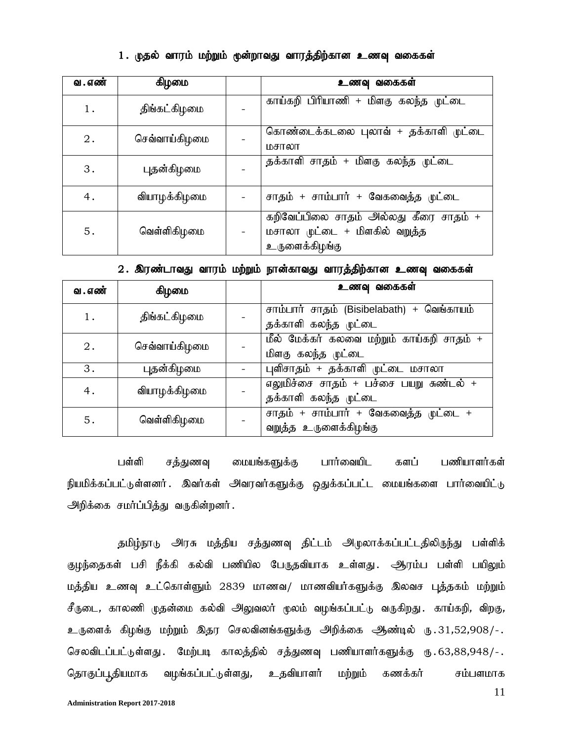### 1. முதல் வாரம் மற்றும் முன்றாவது வாரத்திற்கான உணவு வகைகள்

| வ . எண் | ஆர்ணம         | உணவு வகைகள்                                                                              |
|---------|---------------|------------------------------------------------------------------------------------------|
| 1.      | திங்கட்கிழமை  | காய்கறி பிரியாணி + மிளகு கலந்த முட்டை                                                    |
| $2$ .   | செவ்வாய்கிழமை | கொண்டைக்கடலை புலாவ் + தக்காளி முட்டை<br>மசாலா                                            |
| 3.      | புதன்கிழமை    | தக்காளி சாதம் + மிளகு கலந்த முட்டை                                                       |
| 4.      | வியாழக்கிழமை  | சாதம் + சாம்பார் + வேகவைத்த முட்டை                                                       |
| 5.      | வெள்ளிகிழமை   | கறிவேப்பிலை சாதம் அல்லது கீரை சாதம் +<br>மசாலா முட்டை + மிளகில் வறுத்த<br>உருளைக்கிழங்கு |

|  |  | 2 . இரண்டாவது வாரம் மற்றும் நான்காவது வாரத்திற்கான உணவு வகைகள் |  |
|--|--|----------------------------------------------------------------|--|
|  |  |                                                                |  |

| வ . எண் | ஆர்மை         | உணவு வகைகள்                                                       |
|---------|---------------|-------------------------------------------------------------------|
| 1.      | திங்கட்கிழமை  | சாம்பார் சாதம் (Bisibelabath) + வெங்காயம்<br>தக்காளி கலந்த முட்டை |
| $2$ .   | செவ்வாய்கிழமை | மீல் மேக்கர் கலவை மற்றும் காய்கறி சாதம் +<br>மிளகு கலந்த முட்டை   |
| 3.      | புதன்கிழமை    | புளிசாதம் + தக்காளி முட்டை மசாலா                                  |
| 4.      | வியாழக்கிழமை  | எலுமிச்சை சாதம் + பச்சை பயறு சுண்டல் +<br>தக்காளி கலந்த முட்டை    |
| 5.      | வெள்ளிகிழமை   | சாதம் + சாம்பார் + வேகவைத்த முட்டை +<br>வறுத்த உருளைக்கிழங்கு     |

பள்ளி சத்துணவு மையங்களுக்கு பார்வையிட களப் பணியாளர்கள் நியமிக்கப்பட்டுள்ளனர். இவர்கள் அவரவர்களுக்கு ஒதுக்கப்பட்ட மையங்களை பார்வையிட்டு அறிக்கை சமா்ப்பித்து வருகின்றனா்.

தமிழ்நாடு அரசு மத்திய சத்துணவு திட்டம் அழுலாக்கப்பட்டதிலிருந்து பள்ளிக் குழந்தைகள் பசி நீக்கி கல்வி பணியில பேருதவியாக உள்ளது. ஆரம்ப பள்ளி பயிலும் மத்திய உணவு உட்கொள்ளும் 2839 மாணவ/ மாணவியர்களுக்கு இலவச புத்தகம் மற்றும் சீருடை, காலணி முதன்மை கல்வி அலுவலர் முலம் வழங்கப்பட்டு வருகிறது. காய்கறி, விறகு, உருளைக் கிழங்கு மற்றும் இதர செலவினங்களுக்கு அறிக்கை ஆண்டில் ரு.31,52,908/-. செலவிடப்பட்டுள்ளது .பெற்படி காலத்தில் சத்துணவு பணியாளர்களுக்கு ரு.63,88,948/-. தொகுப்பூதியமாக வழங்கப்பட்டுள்ளது, உதவியாளர் மற்றும் கணக்கர் சம்பளமாக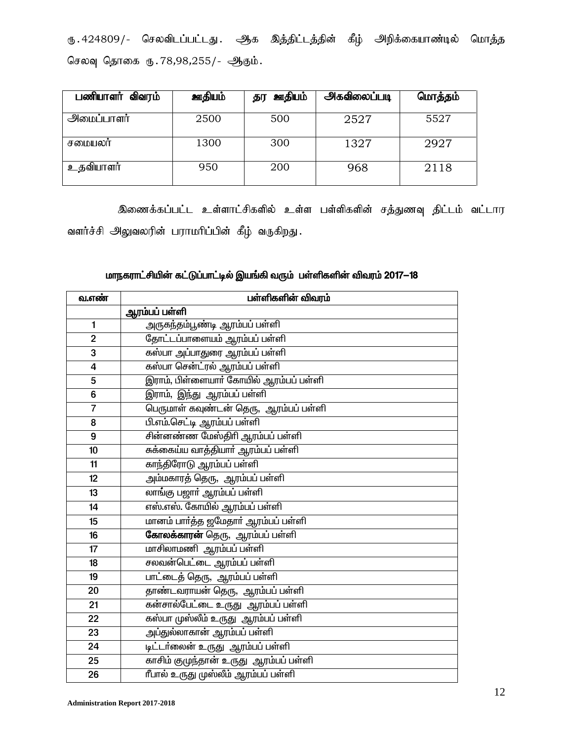ரு. 424809/- செலவிடப்பட்டது. ஆக இத்திட்டத்தின் கீழ் அறிக்கையாண்டில் மொத்த செலவு தொகை ரு. 78,98,255/- ஆகும்.

| பணியாளர் விவரம் | ஊதியம் | <u> அரியம்</u><br>தர | <u> அகவிலைப்படி</u> | மொத்தம் |
|-----------------|--------|----------------------|---------------------|---------|
| அமைப்பாளர்      | 2500   | 500                  | 2527                | 5527    |
| சமையலா          | 1300   | 300                  | 1327                | 2927    |
| உதவியாளர்       | 950    | 200                  | 968                 | 2118    |

இணைக்கப்பட்ட உள்ளாட்சிகளில் உள்ள பள்ளிகளின் சத்துணவு திட்டம் வட்டார வளர்ச்சி அலுவலரின் பராமரிப்பின் கீழ் வருகிறது.

# மாநகராட்சியின் கட்டுப்பாட்டில் இயங்கி வரும் பள்ளிகளின் விவரம் 2017—18

| வ.எண்                   | பள்ளிகளின் விவரம்                             |
|-------------------------|-----------------------------------------------|
|                         | ஆரம்பப் பள்ளி                                 |
| $\mathbf{1}$            | அருகந்தம்பூண்டி ஆரம்பப் பள்ளி                 |
| $\overline{2}$          | <mark>தோட்டப்பாளையம் ஆரம்பப் பள்</mark> ளி    |
| 3                       | கஸ்பா அப்பாதுரை ஆரம்பப் பள்ளி                 |
| $\overline{\mathbf{4}}$ | கஸ்பா சென்ட்ரல் ஆரம்பப் பள்ளி                 |
| 5                       | இராம், பிள்ளையாா் கோயில் ஆரம்பப் பள்ளி        |
| $\bf 6$                 | <mark>இராம், இந்து ஆரம்பப் பள்ளி</mark>       |
| $\overline{7}$          | .<br>பெருமாள் கவுண்டன் தெரு,  ஆரம்பப் பள்ளி   |
| 8                       | பி.எம்.செட்டி ஆரம்பப் பள்ளி                   |
| $\overline{9}$          | சின்னண்ண மேஸ்திரி ஆரம்பப் பள்ளி               |
| 10                      | சுக்கைய்ய வாத்தியாா் ஆரம்பப் பள்ளி            |
| 11                      | காந்திரோடு ஆரம்பப் பள்ளி                      |
| 12                      |                                               |
| 13                      | லாங்கு பஜார் ஆரம்பப் பள்ளி                    |
| 14                      | எஸ்.எஸ். கோயில் ஆரம்பப் பள்ளி                 |
| 15                      | மானம் பார்த்த ஜமேதார் ஆரம்பப் பள்ளி           |
| 16                      | <mark>கோலக்காரன்</mark> தெரு, ஆரம்பப் பள்ளி   |
| 17                      | மாசிலாமணி ஆரம்பப் பள்ளி                       |
| 18                      | சலவன்பெட்டை ஆரம்பப் பள்ளி                     |
| 19                      | பாட்டைத் தெரு, ஆரம்பப் பள்ளி                  |
| 20                      | தாண்டவராயன் தெரு,  ஆரம்பப் பள்ளி              |
| 21                      | .<br>கன்சால்பேட்டை உருது  ஆரம்பப் பள்ளி       |
| 22                      | கஸ்பா முஸ்லீம் உருது  ஆரம்பப் பள்ளி           |
| 23                      | அப்துல்லாகான் ஆரம்பப் பள்ளி                   |
| 24                      | <mark>டிட்டா்லைன் உருது  ஆரம்பப் பள்ளி</mark> |
| 25                      | காசிம் குமுந்தான் உருது ஆரம்பப் பள்ளி         |
| 26                      | ரீபால் உருது முஸ்லீம் ஆரம்பப் பள்ளி           |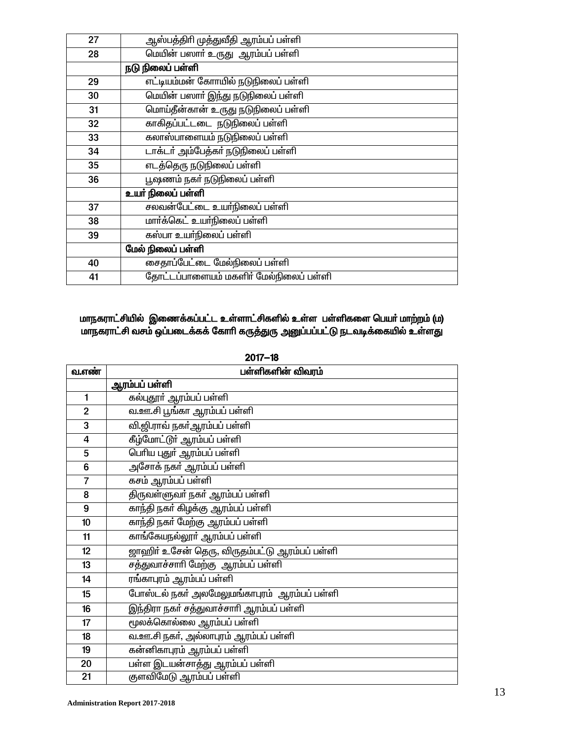| 27 | ஆஸ்பத்திரி முத்துவீதி ஆரம்பப் பள்ளி    |
|----|----------------------------------------|
| 28 | மெயின் பஸாா் உருது ஆரம்பப் பள்ளி       |
|    | நடு நிலைப் பள்ளி                       |
| 29 | எட்டியம்மன் கோாயில் நடுநிலைப் பள்ளி    |
| 30 | மெயின் பஸார் இந்து நடுநிலைப் பள்ளி     |
| 31 | மொய்தீன்கான் உருது நடுநிலைப் பள்ளி     |
| 32 | காகிதப்பட்டடை நடுநிலைப் பள்ளி          |
| 33 | கலாஸ்பாளையம் நடுநிலைப் பள்ளி           |
| 34 | டாக்டர் அம்பேத்கர் நடுநிலைப் பள்ளி     |
| 35 | எடத்தெரு நடுநிலைப் பள்ளி               |
| 36 | பூஷணம் நகா் நடுநிலைப் பள்ளி            |
|    | உயர் நிலைப் பள்ளி                      |
| 37 | சலவன்பேட்டை உயர்நிலைப் பள்ளி           |
| 38 | மார்க்கெட் உயர்நிலைப் பள்ளி            |
| 39 | கஸ்பா உயர்நிலைப் பள்ளி                 |
|    | மேல் நிலைப் பள்ளி                      |
| 40 | சைதாப்பேட்டை மேல்நிலைப் பள்ளி          |
| 41 | தோட்டப்பாளையம் மகளிர் மேல்நிலைப் பள்ளி |

### மாநகராட்சியில் இணைக்கப்பட்ட உள்ளாட்சிகளில் உள்ள பள்ளிகளை பெயர் மாற்றம் (ம) மாநகராட்சி வசம் ஒப்படைக்கக் கோரி கருத்துரு அனுப்பப்பட்டு நடவடிக்கையில் உள்ளது

| <u>வ.எண்</u>   | பள்ளிகளின் விவரம்                             |
|----------------|-----------------------------------------------|
|                | ஆரம்பப் பள்ளி                                 |
| 1              | கல்புதூா் ஆரம்பப் பள்ளி                       |
| $\overline{2}$ | வ.ஊ.சி பூங்கா ஆரம்பப் பள்ளி                   |
| 3              | வி.ஜி.ராவ் நகா்ஆரம்பப் பள்ளி                  |
| 4              | கீழ்மோட்டூர் ஆரம்பப் பள்ளி                    |
| 5              | பெரிய புதுர் ஆரம்பப் பள்ளி                    |
| 6              | அசோக் நகா் ஆரம்பப் பள்ளி                      |
| $\overline{7}$ | கசம் ஆரம்பப் பள்ளி                            |
| 8              | திருவள்ளுவா் நகா் ஆரம்பப் பள்ளி               |
| 9              | காந்தி நகா் கிழக்கு ஆரம்பப் பள்ளி             |
| 10             | காந்தி நகா் மேற்கு ஆரம்பப் பள்ளி              |
| 11             | காங்கேயநல்லூா் ஆரம்பப் பள்ளி                  |
| 12             | ஜாஹிா் உசேன் தெரு, விருதம்பட்டு ஆரம்பப் பள்ளி |
| 13             | சத்துவாச்சாரி மேற்கு ஆரம்பப் பள்ளி            |
| 14             | ரங்காபுரம் ஆரம்பப் பள்ளி                      |
| 15             | போஸ்டல் நகா் அலமேலுமங்காபுரம் ஆரம்பப் பள்ளி   |
| 16             | இந்திரா நகா் சத்துவாச்சாாி ஆரம்பப் பள்ளி      |
| 17             | மூலக்கொல்லை ஆரம்பப் பள்ளி                     |
| 18             | வ.ஊ.சி நகா், அல்லாபுரம் ஆரம்பப் பள்ளி         |
| 19             | கன்னிகாபுரம் ஆரம்பப் பள்ளி                    |
| 20             | பள்ள இடயன்சாத்து ஆரம்பப் பள்ளி                |
| 21             | குளவிமேடு ஆரம்பப் பள்ளி                       |

2017-18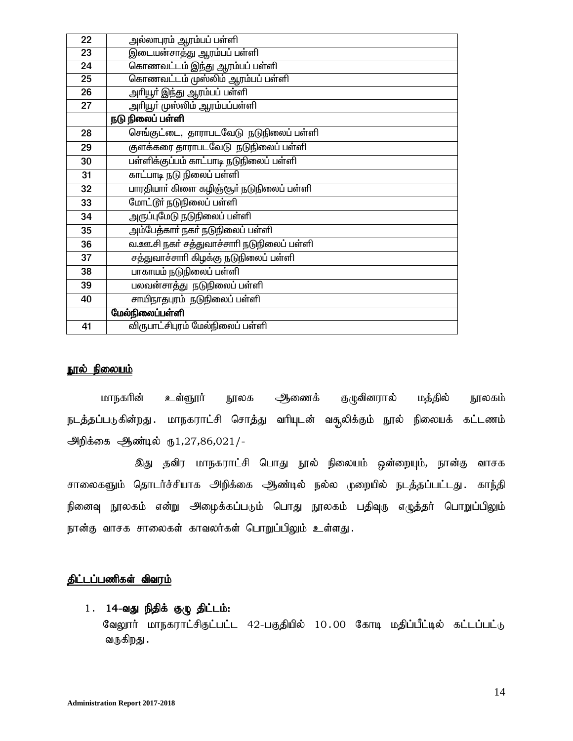| 22 | அல்லாபுரம் ஆரம்பப் பள்ளி                  |
|----|-------------------------------------------|
| 23 | இடையன்சாத்து ஆரம்பப் பள்ளி                |
| 24 | கொணவட்டம் இந்து ஆரம்பப் பள்ளி             |
| 25 | கொணவட்டம் முஸ்லிம் ஆரம்பப் பள்ளி          |
| 26 | அரியூர் இந்து ஆரம்பப் பள்ளி               |
| 27 | அரியூர் முஸ்லிம் ஆரம்பப்பள்ளி             |
|    | நடு நிலைப் பள்ளி                          |
| 28 | செங்குட்டை, தாராபடவேடு நடுநிலைப் பள்ளி    |
| 29 | குளக்கரை தாராபடவேடு நடுநிலைப் பள்ளி       |
| 30 | பள்ளிக்குப்பம் காட்பாடி நடுநிலைப் பள்ளி   |
| 31 | காட்பாடி நடு நிலைப் பள்ளி                 |
| 32 | பாரதியாா் கிளை கழிஞ்சூா் நடுநிலைப் பள்ளி  |
| 33 | மோட்டூர் நடுநிலைப் பள்ளி                  |
| 34 | அருப்புமேடு நடுநிலைப் பள்ளி               |
| 35 | அம்பேத்காா் நகா் நடுநிலைப் பள்ளி          |
| 36 | வ.ஊ.சி நகர் சத்துவாச்சாரி நடுநிலைப் பள்ளி |
| 37 | சத்துவாச்சாரி கிழக்கு நடுநிலைப் பள்ளி     |
| 38 | பாகாயம் நடுநிலைப் பள்ளி                   |
| 39 | பலவன்சாத்து நடுநிலைப் பள்ளி               |
| 40 | சாயிநாதபுரம் நடுநிலைப் பள்ளி              |
|    | மேல்நிலைப்பள்ளி                           |
| 41 | விருபாட்சிபுரம் மேல்நிலைப் பள்ளி          |

#### நூல் நிலை<u>யம்</u>

மாநகரின் உள்ளூர் நூலக ஆணைக் குழுவினரால் மத்தில் நூலகம் நடத்தப்படுகின்றது . மாநகராட்சி சொத்து வரியுடன் வசூலிக்கும் நூல் நிலையக் கட்டணம் அிக்கை ஆண்டில்  $\text{I}, 27, 86, 021$ /-

இது தவிர மாநகராட்சி பொது நூல் நிலையம் ஒன்றையும், நான்கு வாசக சாலைகளும் தொடர்ச்சியாக அறிக்கை ஆண்டில் நல்ல முறையில் நடத்தப்பட்டது. காந்தி நினைவு நூலகம் என்று அழைக்கப்படும் பொது நூலகம் பதிவுரு எழுத்தர் பொறுப்பிலும் நான்கு வாசக சாலைகள் காவலர்கள் பொறுப்பிலும் உள்ளது.

### <u>திட்டப்பணிகள் விவரம்</u>

### $1.$   $14$ -வது நிதிக் குழு திட்டம்:

வேலூர் மாநகராட்சிகுட்பட்ட 42-பகுதியில் 10.00 கோடி மதிப்பீட்டில் கட்டப்பட்டு வருகிறது .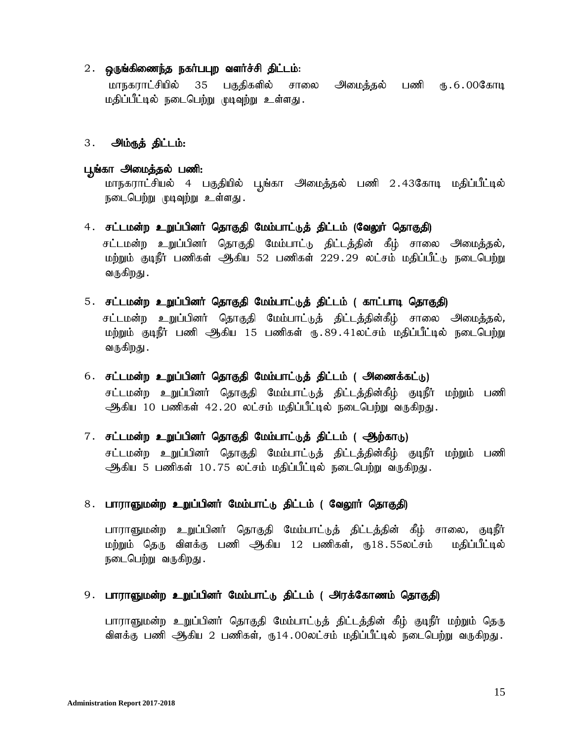#### 2. ஒருங்கிணைந்த நகர்பபுற வளர்ச்சி திட்டம்:

மாநகராட்சியில் 35 பகுதிகளில் சாலை அமைத்தல் பணி ரு.6.00கோடி மதிப்பீட்டில் நடைபெற்று முடிவுற்று உள்ளது.

#### 3. அம்ருத் திட்டம்:

#### பூங்கா அமைத்தல் பணி:

மாநகராட்சியல் 4 பகுதியில் பூங்கா அமைத்தல் பணி 2.43கோடி மதிப்பீட்டில் நடைபெற்று முடிவுற்று உள்ளது.

- 4. சட்டமன்ற உறுப்பினர் தொகுதி மேம்பாட்டுத் திட்டம் (வேலூர் தொகுதி) சட்டமன்ற உறுப்பினர் தொகுதி மேம்பாட்டு திட்டத்தின் கீழ் சாலை அமைத்தல், மற்றும் குடிநீர் பணிகள் ஆகிய 52 பணிகள் 229.29 லட்சம் மதிப்பீட்<sub>டு ந</sub>டைபெற்று வருகிறது .
- 5. சட்டமன்ற உறுப்பினர் தொகுதி மேம்பாட்டுத் திட்டம் ( காட்பாடி தொகுதி)

சட்டமன்ற உறுப்பினர் தொகுதி மேம்பாட்டுத் திட்டத்தின்கீழ் சாலை அமைத்தல், மற்றும் குடிநீர் பணி ஆகிய 15 பணிகள் ரூ.89.41லட்சம் மதிப்பீட்டில் நடைபெற்று வருகிறது .

- 6. சட்டமன்ற உறுப்பினர் தொகுதி மேம்பாட்டுத் திட்டம் ( அணைக்கட்டு) சட்டமன்ற உறுப்பினர் தொகுதி மேம்பாட்டுத் திட்டத்தின்கீழ் குடிநீர் மற்றும் பணி ஆிகிய 10 பணிகள் 42.20 லட்சம் மதிப்பீட்டில் நடைபெற்று வருகிறது.
- 7. சட்டமன்ற உறுப்பினர் தொகுதி மேம்பாட்டுத் திட்டம் ( ஆற்காடு) சட்டமன்ற உறுப்பினர் தொகுதி மேம்பாட்டுத் திட்டத்தின்கீழ் குடிநீர் மற்றும் பணி

அூகிய 5 பணிகள் 10.75 லட்சம் மதிப்பீட்டில் நடைபெற்று வருகிறது.

#### 8. பாராஞுமன்ற உறுப்பினர் மேம்பாட்டு திட்டம் ( வேலூர் தொகுதி)

பாராளுமன்ற உறுப்பினர் தொகுதி மேம்பாட்டுத் திட்டத்தின் கீழ் சாலை, குடிநீர் மற்றும் தெரு விளக்கு பணி ஆகிய 12 பணிகள், ரூ18.55லட்சம் மதிப்பீட்டில் நடைபெற்று வருகிறது.

#### 9. பாராளுமன்ற உறுப்பினர் மேம்பாட்டு திட்டம் ( அரக்கோணம் தொகுதி)

பாராளுமன்ற உறுப்பினர் தொகுதி மேம்பாட்டுத் திட்டத்தின் கீழ் குடிநீர் மற்றும் தெரு விளக்கு பணி ஆகிய 2 பணிகள், ரூ.14.00லட்சம் மதிப்பீட்டில் நடைபெற்று வருகிறது.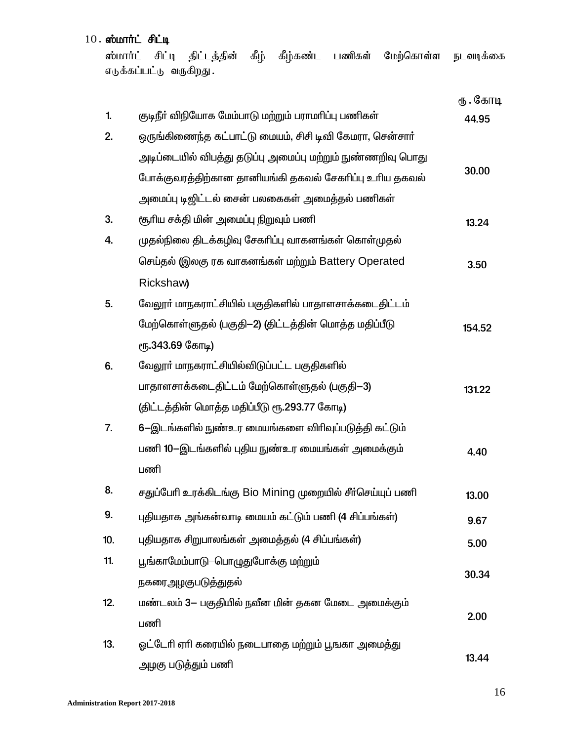$10.$  ஸ்மார்ட் சிட்டி

ஸ்மார்ட் சிட்டி திட்டத்தின் கீழ் கீழ்கண்ட பணிகள் மேற்கொள்ள நடவடிக்கை எடுக்கப்பட்டு வருகிறது.

|     |                                                            | ரு . கோடி |
|-----|------------------------------------------------------------|-----------|
| 1.  | குடிநீா் விநியோக மேம்பாடு மற்றும் பராமாிப்பு பணிகள்        | 44.95     |
| 2.  | ஒருங்கிணைந்த கட்பாட்டு மையம், சிசி டிவி கேமரா, சென்சாா்    |           |
|     | அடிப்டையில் விபத்து தடுப்பு அமைப்பு மற்றும் நுண்ணறிவு பொது |           |
|     | போக்குவரத்திற்கான தானியங்கி தகவல் சேகரிப்பு உரிய தகவல்     | 30.00     |
|     | அமைப்பு டிஜிட்டல் சைன் பலகைகள் அமைத்தல் பணிகள்             |           |
| 3.  | சூரிய சக்தி மின் அமைப்பு நிறுவும் பணி                      | 13.24     |
| 4.  | முதல்நிலை திடக்கழிவு சேகாிப்பு வாகனங்கள் கொள்முதல்         |           |
|     | செய்தல் இலகு ரக வாகனங்கள் மற்றும் Battery Operated         | 3.50      |
|     | Rickshaw)                                                  |           |
| 5.  | வேலூா் மாநகராட்சியில் பகுதிகளில் பாதாளசாக்கடைதிட்டம்       |           |
|     | மேற்கொள்ளுதல் (பகுதி—2) (திட்டத்தின் மொத்த மதிப்பீடு       | 154.52    |
|     | ரு.343.69 கோடி)                                            |           |
| 6.  | வேலூா் மாநகராட்சியில்விடுப்பட்ட பகுதிகளில்                 |           |
|     | பாதாளசாக்கடைதிட்டம் மேற்கொள்ளுதல் (பகுதி-3)                | 131.22    |
|     | (திட்டத்தின் மொத்த மதிப்பீடு ரூ.293.77 கோடி)               |           |
| 7.  | 6-இடங்களில் நுண்உர மையங்களை விரிவுப்படுத்தி கட்டும்        |           |
|     | பணி 10-இடங்களில் புதிய நுண்உர மையங்கள் அமைக்கும்           | 4.40      |
|     | பணி                                                        |           |
| 8.  | சதுப்பேரி உரக்கிடங்கு Bio Mining முறையில் சீர்செய்யுப் பணி | 13.00     |
| 9.  | புதியதாக அங்கன்வாடி மையம் கட்டும் பணி (4 சிப்பங்கள்)       | 9.67      |
| 10. | புதியதாக சிறுபாலங்கள் அமைத்தல் (4 சிப்பங்கள்)              | 5.00      |
| 11. | பூங்காமேம்பாடு–பொழுதுபோக்கு மற்றும்                        |           |
|     | நகரைஅழகுபடுத்துதல்                                         | 30.34     |
| 12. | மண்டலம் 3- பகுதியில் நவீன மின் தகன மேடை அமைக்கும்          |           |
|     | பணி                                                        | 2.00      |
| 13. | ஓட்டேரி ஏரி கரையில் நடைபாதை மற்றும் பூஙகா அமைத்து          |           |
|     | அழகு படுத்தும் பணி                                         | 13.44     |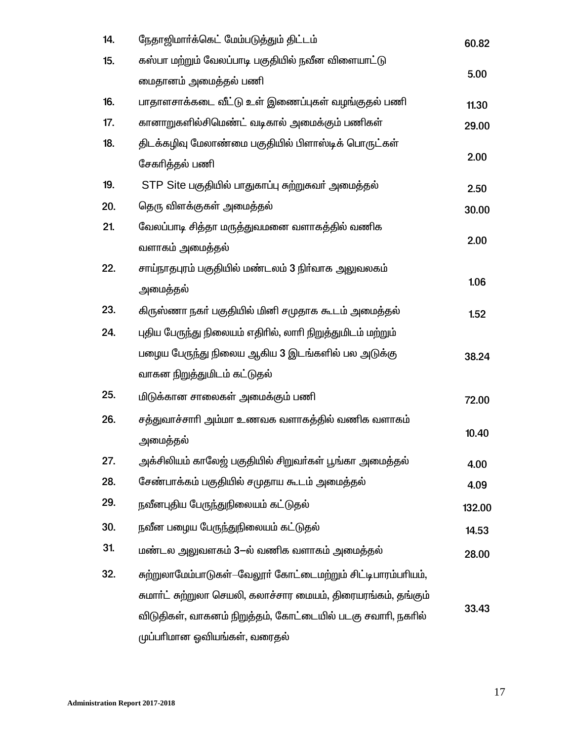| 14. | நேதாஜிமார்க்கெட் மேம்படுத்தும் திட்டம்                        | 60.82  |
|-----|---------------------------------------------------------------|--------|
| 15. | கஸ்பா மற்றும் வேலப்பாடி பகுதியில் நவீன விளையாட்டு             |        |
|     | மைதானம் அமைத்தல் பணி                                          | 5.00   |
| 16. | பாதாளசாக்கடை வீட்டு உள் இணைப்புகள் வழங்குதல் பணி              | 11.30  |
| 17. | கானாறுகளில்சிமெண்ட் வடிகால் அமைக்கும் பணிகள்                  | 29.00  |
| 18. | திடக்கழிவு மேலாண்மை பகுதியில் பிளாஸ்டிக் பொருட்கள்            |        |
|     | சேகரித்தல் பணி                                                | 2.00   |
| 19. | STP Site பகுதியில் பாதுகாப்பு சுற்றுசுவர் அமைத்தல்            | 2.50   |
| 20. | தெரு விளக்குகள் அமைத்தல்                                      | 30.00  |
| 21. | வேலப்பாடி சித்தா மருத்துவமனை வளாகத்தில் வணிக                  |        |
|     | வளாகம் அமைத்தல்                                               | 2.00   |
| 22. | சாய்நாதபுரம் பகுதியில் மண்டலம் 3 நிா்வாக அலுவலகம்             |        |
|     | அமைத்தல்                                                      | 1.06   |
| 23. | கிருஸ்ணா நகா் பகுதியில் மினி சமுதாக கூடம் அமைத்தல்            | 1.52   |
| 24. | புதிய பேருந்து நிலையம் எதிரில், லாரி நிறுத்துமிடம் மற்றும்    |        |
|     | பழைய பேருந்து நிலைய ஆகிய 3 இடங்களில் பல அடுக்கு               | 38.24  |
|     | வாகன நிறுத்துமிடம் கட்டுதல்                                   |        |
| 25. | மிடுக்கான சாலைகள் அமைக்கும் பணி                               | 72.00  |
| 26. | சத்துவாச்சாாி அம்மா உணவக வளாகத்தில் வணிக வளாகம்               |        |
|     | அமைத்தல்                                                      | 10.40  |
| 27. | அக்சிலியம் காலேஜ் பகுதியில் சிறுவா்கள் பூங்கா அமைத்தல்        | 4.00   |
| 28. | சேண்பாக்கம் பகுதியில் சமுதாய கூடம் அமைத்தல்                   | 4.09   |
| 29. | நவீனபுதிய பேருந்துநிலையம் கட்டுதல்                            | 132.00 |
| 30. | நவீன பழைய பேருந்துநிலையம் கட்டுதல்                            | 14.53  |
| 31. | மண்டல அலுவளகம் 3-ல் வணிக வளாகம் அமைத்தல்                      | 28.00  |
| 32. | சுற்றுலாமேம்பாடுகள்--வேலூா் கோட்டைமற்றும் சிட்டிபாரம்பாியம்,  |        |
|     | சுமாா்ட் சுற்றுலா செயலி, கலாச்சார மையம், திரையரங்கம், தங்கும் |        |
|     | விடுதிகள், வாகனம் நிறுத்தம், கோட்டையில் படகு சவாரி, நகரில்    | 33.43  |
|     | முப்பாிமான ஓவியங்கள், வரைதல்                                  |        |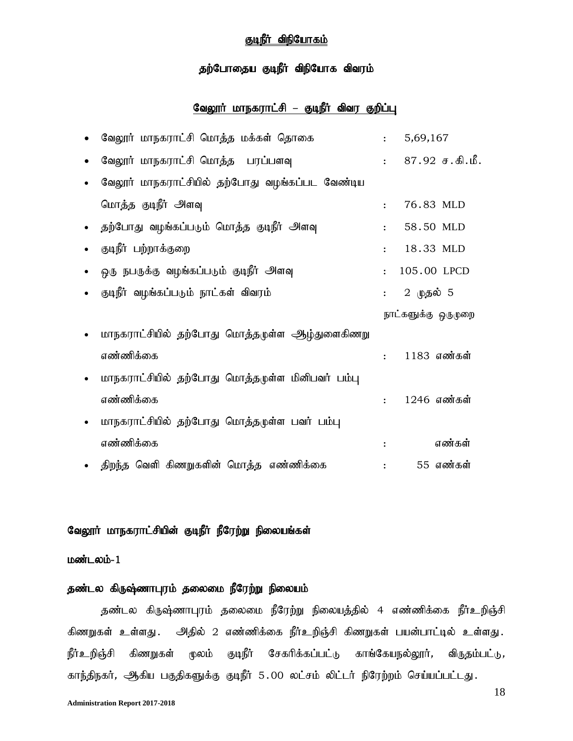### குடிநீர் விநியோகம்

### தற்போதைய குடிநீர் விநியோக விவரம்

### வேலூர் மாநகராட்சி – குடிநீர் விவர குறிப்பு

|           | வேலூர் மாநகராட்சி மொத்த மக்கள் தொகை              | $\mathbf{L}$         | 5,69,167            |
|-----------|--------------------------------------------------|----------------------|---------------------|
| $\bullet$ | வேலூர் மாநகராட்சி மொத்த பரப்பளவு                 | $\mathbf{r}$         | $87.92$ ச.கி.மீ.    |
| $\bullet$ | வேலூர் மாநகராட்சியில் தற்போது வழங்கப்பட வேண்டிய  |                      |                     |
|           | மொத்த குடிநீர் அளவு                              | $\ddot{\cdot}$       | 76.83 MLD           |
| $\bullet$ | தற்போது வழங்கப்படும் மொத்த குடிநீர் அளவு         | $\ddot{\cdot}$       | 58.50 MLD           |
| $\bullet$ | குடிநீர் பற்றாக்குறை                             | $\ddot{\cdot}$       | 18.33 MLD           |
|           | ஒரு நபருக்கு வழங்கப்படும் குடிநீர் அளவு          | $\ddot{\cdot}$       | 105.00 LPCD         |
| $\bullet$ | குடிநீர் வழங்கப்படும் நாட்கள் விவரம்             | $\ddot{\cdot}$       | 2 <b>முதல்</b> 5    |
|           |                                                  |                      | நாட்களுக்கு ஒருமுறை |
| $\bullet$ | மாநகராட்சியில் தற்போது மொத்தமுள்ள ஆழ்துளைகிணறு   |                      |                     |
|           | எண்ணிக்கை                                        | $\ddot{\phantom{a}}$ | 1183 எண்கள்         |
| $\bullet$ | மாநகராட்சியில் தற்போது மொத்தமுள்ள மினிபவர் பம்பு |                      |                     |
|           |                                                  |                      |                     |
|           | எண்ணிக்கை                                        | $\ddot{\cdot}$       | 1246 எண்கள்         |
| $\bullet$ | மாநகராட்சியில் தற்போது மொத்தமுள்ள பவர் பம்பு     |                      |                     |
|           | எண்ணிக்கை                                        | $\ddot{\cdot}$       | எண்கள்              |

### வேலூர் மாநகராட்சியின் குடிநீர் நீரேற்று நிலையங்கள்

#### $L$ ண்டலம்- $1$

### தண்டல கிருஷ்ணாபுரம் தலைமை நீரேற்று நிலையம்

தண்டல கிருஷ்ணாபுரம் தலைமை நீரேற்று நிலையத்தில் 4 எண்ணிக்கை நீர்உறிஞ்சி கிணறுகள் உள்ளது . அதில் 2 எண்ணிக்கை நீர்உறிஞ்சி கிணறுகள் பயன்பாட்டில் உள்ளது . நீர்உறிஞ்சி கிணறுகள் மூலம் குடிநீர் சேகரிக்கப்பட்டு காங்கேயநல்லூர், விருதம்பட்டு*,* காந்திநகர், ஆகிய பகுதிகளுக்கு குடிநீர் 5.00 லட்சம் லிட்டர் நிரேற்றம் செய்யப்பட்டது.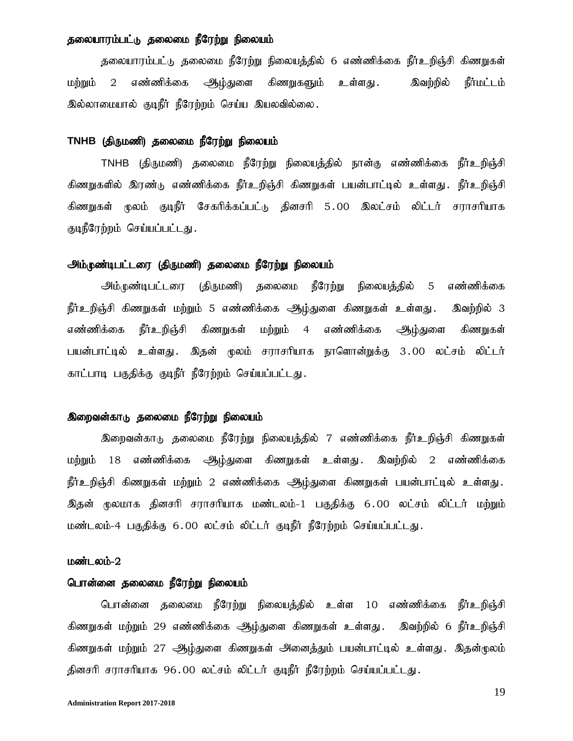### தலையாரம்பட்டு தலைமை நீரேற்று நிலையம்

தலையாரம்பட்டு தலைமை நீரேற்று நிலையத்தில் 6 எண்ணிக்கை நீர்உறிஞ்சி கிணறுகள் மற்றும் 2 எண்ணிக்கை <del>அ</del>டிந்துளை கிணறுகளும் உள்ளது . இவற்றில் நீர்மட்டம் இல்லாமையால் குடிநீர் நீரேற்றம் செய்ய இயலவில்லை.

#### TNHB (திருமணி) தலைமை நீரேற்று நிலையம்

TNHB (திருமணி) தலைமை நீரேற்று நிலையத்தில் நான்கு எண்ணிக்கை நீர்உறிஞ்சி கிணறுகளில் இரண்டு எண்ணிக்கை நீர்உறிஞ்சி கிணறுகள் பயன்பாட்டில் உள்ளது. நீர்உறிஞ்சி கிணறுகள் மூலம் குடிநீர் சேகரிக்கப்பட்டு தினசரி 5.00 இலட்சம் லிட்டர் சராசரியாக குடிநீரேற்றம் செய்யப்பட்டது.

#### அம்முண்டிபட்டரை (திருமணி) தலைமை நீரேற்று நிலையம்

அம்முண்டிபட்டரை (திருமணி) தலைமை நீரேற்று நிலையத்தில் 5 எண்ணிக்கை நீர்உறிஞ்சி கிணறுகள் மற்றும் 5 எண்ணிக்கை அூழ்துளை கிணறுகள் உள்ளது . இவற்றில் 3 எண்ணிக்கை நீர்உறிஞ்சி கிணறுகள் மற்றும் 4 எண்ணிக்கை <del>அ</del>டிப்துளை கிணறுகள் பயன்பாட்டில் உள்ளது. இதன் மூலம் சராசரியாக நாளொன்றுக்கு 3.00 லட்சம் லிட்டர் காட்பாடி பகுதிக்கு குடிநீர் நீரேற்றம் செய்யப்பட்டது.

#### இறைவன்காடு தலைமை நீரேற்று நிலையம்

இறைவன்காடு தலைமை நீரேற்று நிலையத்தில் 7 எண்ணிக்கை நீர்உறிஞ்சி கிணறுகள் மற்றும் 18 எண்ணிக்கை ஆழ்துளை கிணறுகள் உள்ளது . இவற்றில் 2 எண்ணிக்கை நீர்உறிஞ்சி கிணறுகள் மற்றும் 2 எண்ணிக்கை ஆழ்துளை கிணறுகள் பயன்பாட்டில் உள்ளது. இதன் மூலமாக தினசரி சராசரியாக மண்டலம்-1 பகுதிக்கு 6.00 லட்சம் லிட்டர் மற்றும் மண்டலம்-4 பகுதிக்கு 6.00 லட்சம் லிட்டர் குடிநீர் நீரேற்றம் செய்யப்பட்டது.

#### மண்டலம்-2

#### பொன்னை தலைமை நீரேற்று நிலையம்

பொன்னை தலைமை நீரேற்று நிலையத்தில் உள்ள 10 எண்ணிக்கை நீர்உறிஞ்சி கிணறுகள் மற்றும் 29 எண்ணிக்கை அூழ்துளை கிணறுகள் உள்ளது . இவற்றில் 6 நீர்உறிஞ்சி கிணறுகள் மற்றும் 27 ஆழ்துளை கிணறுகள் அனைத்தும் பயன்பாட்டில் உள்ளது. இதன்முலம் தினசரி சராசரியாக 96.00 லட்சம் லிட்டர் குடிநீர் நீரேற்றம் செய்யப்பட்டது.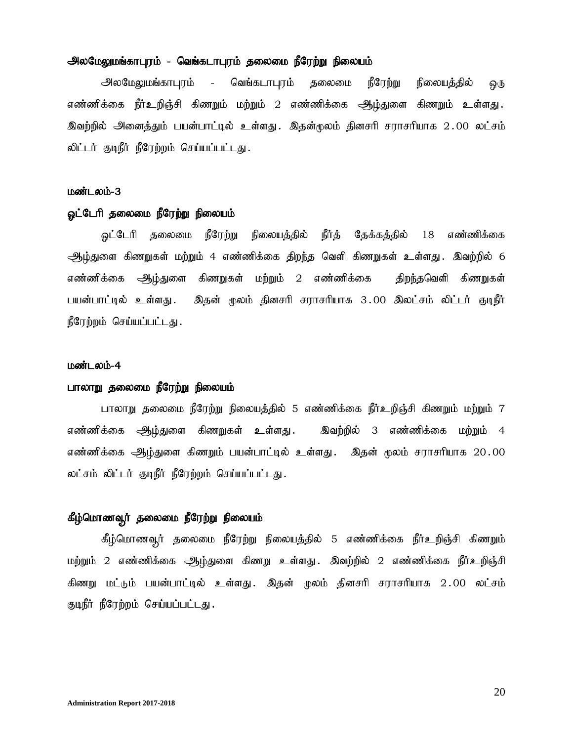#### அலமேலுமங்காபுரம் - வெங்கடாபுரம் தலைமை நீரேற்று நிலையம்

அலமேலுமங்காபுரம் - வெங்கடாபுரம் தலைமை நீரேற்று நிலையத்தில் ஒரு எண்ணிக்கை நீர்உறிஞ்சி கிணறும் மற்றும் 2 எண்ணிக்கை <del>அ</del>ழ்துளை கிணறும் உள்ளது. இவற்றில் அனைத்தும் பயன்பாட்டில் உள்ளது. இதன்முலம் தினசரி சராசரியாக 2.00 லட்சம் லிட்டர் குடிநீர் நீரேற்றம் செய்யப்பட்டது.

#### மண்டலம்-3

#### ஓட்டேரி தலைமை நீரேற்று நிலையம்

ஓட்டேரி தலைமை நீரேற்று நிலையத்தில் நீர்த் தேக்கத்தில் 18 எண்ணிக்கை <u>ஆழ்து</u>ளை கிணறுகள் மற்றும் 4 எண்ணிக்கை திறந்த வெளி கிணறுகள் உள்ளது . இவற்றில் 6 எண்ணிக்கை ஆிடி்துளை கிணறுகள் மற்றும் 2 எண்ணிக்கை திறந்தவெளி கிணறுகள் பயன்பாட்டில் உள்ளது . இதன் மூலம் தினசரி சராசரியாக 3 .00 இலட்சம் லிட்டர் குடிநீர் நீரேற்றம் செய்யப்பட்டது.

#### மண்டலம்-4

### பாலாறு தலைமை நீரேற்று நிலையம்

பாலாறு தலைமை நீரேற்று நிலையத்தில் 5 எண்ணிக்கை நீர்உறிஞ்சி கிணறும் மற்றும் 7 எண்ணிக்கை ஆிழ்துளை கிணறுகள் உள்ளது . இவற்றில் 3 எண்ணிக்கை மற்றும் 4 எண்ணிக்கை ஆழ்துளை கிணறும் பயன்பாட்டில் உள்ளது . இதன் மூலம் சராசரியாக 20.00 லட்சம் லிட்டர் குடிநீர் நீரேற்றம் செய்யப்பட்டது.

#### கீழ்மொணவுர் தலைமை நீரேற்று நிலையம்

கீழ்மொணவுர் தலைமை நீரேற்று நிலையத்தில் 5 எண்ணிக்கை நீர்உறிஞ்சி கிணறும் மற்றும் 2 எண்ணிக்கை ஆழ்துளை கிணறு உள்ளது. இவற்றில் 2 எண்ணிக்கை நீர்உறிஞ்சி கிணறு மட்டும் பயன்பாட்டில் உள்ளது. இதன் முலம் தினசரி சராசரியாக 2.00 லட்சம் குடிநீர் நீரேற்றம் செய்யப்பட்டது.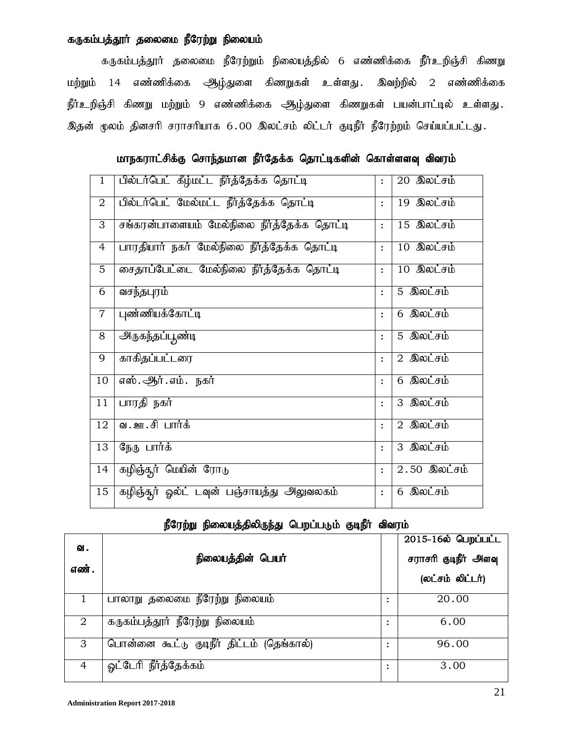### கருகம்பத்தூா் தலைமை நீரேற்று நிலையம்

கருகம்பத்தூர் தலைமை நீரேற்றும் நிலையத்தில் 6 எண்ணிக்கை நீர்உறிஞ்சி கிணறு மற்றும் 14 எண்ணிக்கை <u>ஆழ்து</u>ளை கிணறுகள் உள்ளது . இவற்றில் 2 எண்ணிக்கை நீர்உறிஞ்சி கிணறு மற்றும் 9 எண்ணிக்கை ஆழ்துளை கிணறுகள் பயன்பாட்டில் உள்ளது. இதன் மூலம் தினசரி சராசரியாக 6.00 இலட்சம் லிட்டர் குடிநீர் நீரேற்றம் செய்யப்பட்டது.

மாநகராட்சிக்கு சொந்தமான நீர்தேக்க தொட்டிகளின் கொள்ளளவு விவரம்

| $\mathbf{1}$    | பில்டர்பெட் கீழ்மட்ட நீர்த்தேக்க தொட்டி    | $\ddot{\cdot}$ | 20 இலட்சம்                                    |
|-----------------|--------------------------------------------|----------------|-----------------------------------------------|
| $\overline{2}$  | பில்டர்பெட் மேல்மட்ட நீர்த்தேக்க தொட்டி    | $\ddot{\cdot}$ | 19 இலட்சம்                                    |
| 3               | சங்கரன்பாளையம் மேல்நிலை நீர்த்தேக்க தொட்டி | $\ddot{\cdot}$ | $15$ <b>@</b> $\overline{ou\_fib}$            |
| $\overline{4}$  | பாரதியார் நகர் மேல்நிலை நீர்த்தேக்க தொட்டி | $\ddot{\cdot}$ | 10 இலட்சம்                                    |
| $\overline{5}$  | சைதாப்பேட்டை மேல்நிலை நீர்த்தேக்க தொட்டி   | $\ddot{\cdot}$ | 10 இலட்சம்                                    |
| 6               | வசந்தபுரம்                                 | $\ddot{\cdot}$ | 5 இலட்சம்                                     |
| $\overline{7}$  | புண்ணியக்கோட்டி                            | $\ddot{\cdot}$ | 6 இலட்சம்                                     |
| $\overline{8}$  | <u> அருகந்தப்பூண்டி</u>                    | $\ddot{\cdot}$ | 5 இலட்சம்                                     |
| 9               | காகிதப்பட்டரை                              | $\ddot{\cdot}$ | $2$ இலட்சம்                                   |
| 10              | எஸ். ஆர். எம். நகர்                        | $\ddot{\cdot}$ | $6$ இலட்சம்                                   |
| $\overline{11}$ | பாரதி நகர்                                 | $\ddot{\cdot}$ | 3 இலட்சம்                                     |
| 12              | வ.ஊ.சி பார்க்                              | $\ddot{\cdot}$ | $2$ இலட்சம்                                   |
| 13              | நேரு பார்க்                                | $\ddot{\cdot}$ | 3 இலட்சம்                                     |
| 14              | கழிஞ்தூர் மெயின் ரோடு                      | $\ddot{\cdot}$ | $2.50$ இலட்சம்                                |
| 15              | கழிஞ்துர் ஓல்ட் டவுன் பஞ்சாயத்து அலுவலகம்  | $\ddot{\cdot}$ | $6$ $\sqrt{3}$ $\omega$ $\div$ $\pm$ $\omega$ |

### நீரேற்று நிலையத்திலிருந்து பெறப்படும் குடிநீர் விவரம்

| வ.<br>எண். | நிலையத்தின் பெயர்                         |   | 2015-16ல் பெறப்பட்ட<br>சராசரி குடிநீர் அளவு<br>(லட்சம் லிட்டர்) |
|------------|-------------------------------------------|---|-----------------------------------------------------------------|
|            | பாலாறு தலைமை நீரேற்று நிலையம்             | ٠ | 20.00                                                           |
| 2          | கருகம்பத்தூர் நீரேற்று நிலையம்            | ٠ | 6.00                                                            |
| 3          | பொன்னை கூட்டு குடிநீர் திட்டம் (தெங்கால்) | ٠ | 96.00                                                           |
| 4          | ஓட்டேரி நீர்த்தேக்கம்                     | ٠ | 3.00                                                            |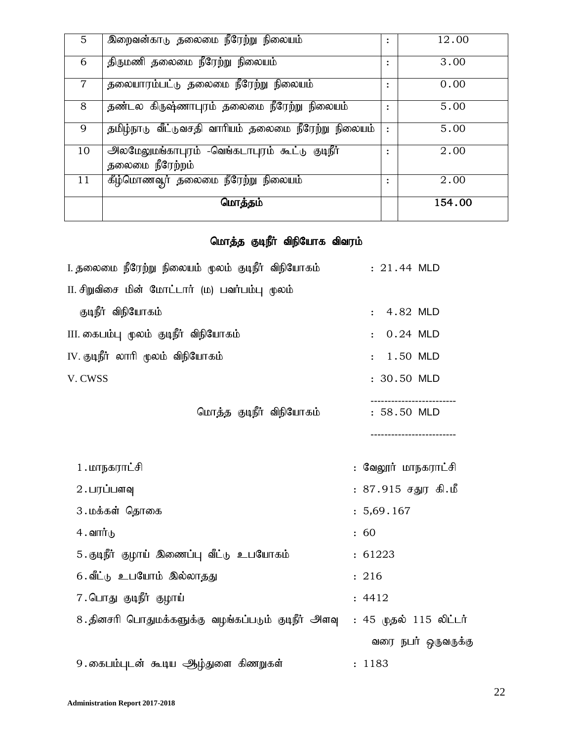| 5              | இறைவன்காடு தலைமை நீரேற்று நிலையம்                                 | $\ddot{\cdot}$ | 12.00  |
|----------------|-------------------------------------------------------------------|----------------|--------|
| 6              | திருமணி தலைமை நீரேற்று நிலையம்                                    | $\ddot{\cdot}$ | 3.00   |
| $\overline{7}$ | தலையாரம்பட்டு தலைமை நீரேற்று நிலையம்                              | $\ddot{\cdot}$ | 0.00   |
| 8              | தண்டல கிருஷ்ணாபுரம் தலைமை நீரேற்று நிலையம்                        |                | 5.00   |
| 9              | தமிழ்நாடு வீட்டுவசதி வாரியம் தலைமை நீரேற்று நிலையம்               | $\ddot{\cdot}$ | 5.00   |
| 10             | அலமேலுமங்காபுரம் -வெங்கடாபுரம் கூட்டு குடிநீர்<br>தலைமை நீரேற்றம் | ٠              | 2.00   |
| 11             | கீழ்மொணவூர் தலைமை நீரேற்று நிலையம்                                | ፡              | 2.00   |
|                | மொத்தம்                                                           |                | 154.00 |

### மொத்த குடிநீர் விநியோக விவரம்

| I. தலைமை நீரேற்று நிலையம் மூலம் குடிநீர் விநியோகம். | $: 21.44$ MLD          |
|-----------------------------------------------------|------------------------|
| II. சிறுவிசை மின் மோட்டார் (ம) பவர்பம்பு மூலம்      |                        |
| குடிநீர் விநியோகம்                                  | : 4.82 MLD             |
| III. கைபம்பு மூலம் குடிநீர் விநியோகம்               | $: 0.24$ MLD           |
| IV. குடிநீர் லாரி மூலம் விநியோகம்                   | $: 1.50$ MLD           |
| V. CWSS                                             | : 30.50 MLD            |
| மொத்த குடிநீர் விநியோகம்                            | : 58.50 MLD            |
| 1 . மாநகராட்சி                                      | : வேலூர் மாநகராட்சி    |
| 2. பரப்பளவு                                         | : 87.915 சதுர கி.மீ    |
| 3 . மக்கள் தொகை                                     | : 5,69.167             |
| 4 . வார்டு                                          | : 60                   |
| 5. குடிநீர் குழாய் இணைப்பு வீட்டு உபயோகம்           | : 61223                |
| 6. வீட்டு உபயோம் இல்லாதது                           | : 216                  |
| 7 . பொது குடிநீர் குழாய்                            | : 4412                 |
| 8 தினசரி பொதுமக்களுக்கு வழங்கப்படும் குடிநீர் அளவு  | : 45 முதல் 115 லிட்டர் |
|                                                     | வரை நபர் ஒருவருக்கு    |
| 9 .கைபம்புடன் கூடிய ஆழ்துளை கிணறுகள்                | : 1183                 |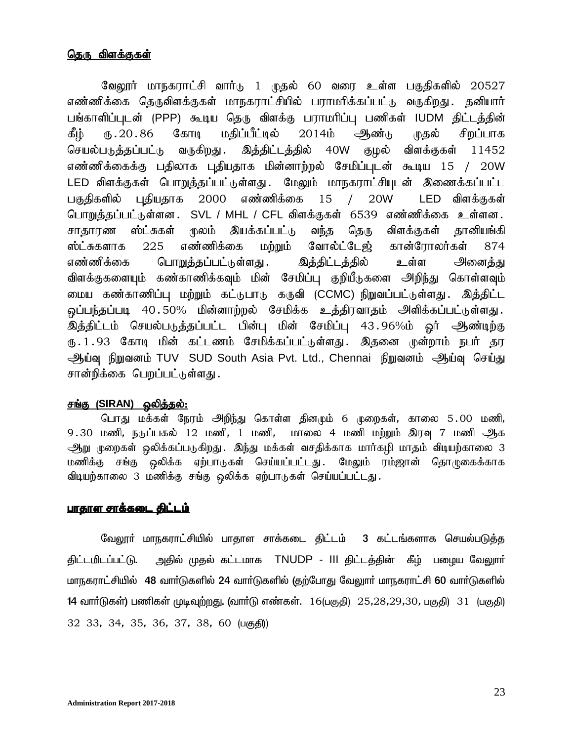### <u>தெரு விளக்குகள்</u>

வேலூர் மாநகராட்சி வார்டு 1 முதல் 60 வரை உள்ள பகுதிகளில் 20527 எண்ணிக்கை தெருவிளக்குகள் மாநகராட்சியில் பராமரிக்கப்பட்டு வருகிறது. தனியார் பங்காளிப்புடன் (PPP) கூடிய தெரு விளக்கு பராமரிப்பு பணிகள் IUDM திட்டத்தின் கீழ் ரு.20.86 கோடி மதிப்பீட்டில் 2014ம் ஆண்<sub>டு (</sub>ழதல் சிறப்பாக செயல்படுத்தப்பட்டு வருகிறது. இத்திட்டத்தில் 40W குழல் விளக்குகள் 11452 எண்ணிக்கைக்கு பதிலாக புதியதாக மின்னாற்றல் சேமிப்புடன் கூடிய 15 / 20W LED விளக்குகள் பொறுத்தப்பட்டுள்ளது. மேலும் மாநகராட்சியுடன் இணைக்கப்பட்ட பகுதிகளில் புதியதாக 2000 எண்ணிக்கை 15 / 20W LED விளக்குகள் பொறுத்தப்பட்டுள்ளன . SVL / MHL / CFL விளக்குகள் 6539 எண்ணிக்கை உள்ளன . சாதாரண ஸ்ட்சுகள் மூலம் இயக்கப்பட்டு வந்த தெரு விளக்குகள் தானியங்கி ஸ்ட்சுகளாக 225 எண்ணிக்கை மற்றும் வோல்ட்டேஜ் கான்ரோலர்கள் 874 எண்ணிக்கை பொ<u>றுத்த</u>ப்பட்டுள்ளது . இத்திட்டத்தில் உள்ள அனைத்து விளக்குகளையும் கண்காணிக்கவும் மின் சேமிப்பு குறியீடுகளை அறிந்து கொள்ளவும் மைய கண்காணிப்பு மற்றும் கட்டுபாடு கருவி (CCMC) நிறுவப்பட்டுள்ளது. இத்திட்ட ஒப்பந்தப்படி 40.50% மின்னாற்றல் சேமிக்க உத்திரவாதம் அளிக்கப்பட்டுள்ளது. இத்திட்டம் செயல்படுத்தப்பட்ட பின்பு மின் சேமிப்பு 43.96%ம் ஓர் ஆண்டிற்கு ரு.1.93 கோடி மின் கட்டணம் சேமிக்கப்பட்டுள்ளது. இதனை முன்றாம் நபர் தர ஆய்வு நிறுவனம் TUV SUD South Asia Pvt. Ltd., Chennai நிறுவனம் ஆய்வு செய்து சான்றிக்கை பெறப்பட்டுள்ளது.

### <u>சங்கு (SIRAN) ஒலித்தல்:</u>

பொது மக்கள் நேரம் அிந்து கொள்ள தினமும் 6 முறைகள், காலை 5.00 மணி,  $9.30$  மணி, நடுப்பகல் 12 மணி, 1 மணி, மாலை 4 மணி மற்றும் இரவு 7 மணி ஆக ஆறு முறைகள் ஒலிக்கப்படுகிறது . இந்து மக்கள் வசதிக்காக மார்கழி மாதம் விடியற்காலை 3 மணிக்கு சங்கு ஒலிக்க ஏற்பாடுகள் செய்யப்பட்டது. மேலும் ரம்ஜான் தொழுகைக்காக விடியற்காலை 3 மணிக்கு சங்கு ஒலிக்க ஏற்பாடுகள் செய்யப்பட்டது.

### <u>பாதாள சாக்கடை திட்டம்</u>

வேலூர் மாநகராட்சியில் பாதாள சாக்கடை திட்டம் 3 கட்டங்களாக செயல்படுத்த திட்டமிடப்பட்டு. அதில் முதல் கட்டமாக TNUDP - III திட்டத்தின் கீழ் பழைய வேலுார் மாநகராட்சியில் 48 வார்டுகளில் 24 வார்டுகளில் (தற்போது வேலுார் மாநகராட்சி 60 வார்டுகளில் 14 வார்டுகள்) பணிகள் முடிவுற்றது. (வார்டு எண்கள்.  $16$ (பகுதி)  $25,28,29,30$ , பகுதி)  $31$  (பகுதி)  $32$   $33$ ,  $34$ ,  $35$ ,  $36$ ,  $37$ ,  $38$ ,  $60$  ( $\mu$ குதி))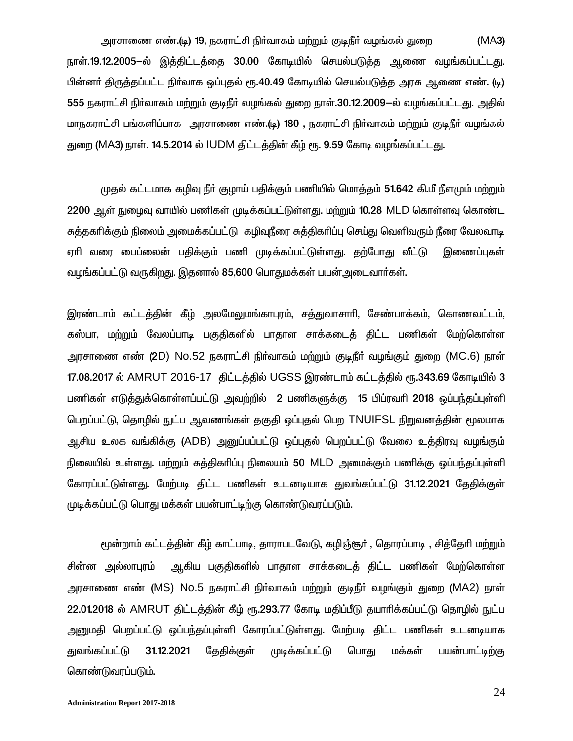அரசாணை எண்.(டி) 19, நகராட்சி நிா்வாகம் மற்றும் குடிநீா் வழங்கல் துறை (MA3) நாள்.19.12.2005-ல் இத்திட்டத்தை 30.00 கோடியில் செயல்படுத்த ஆணை வழங்கப்பட்டது. பின்னா் திருத்தப்பட்ட நிா்வாக ஒப்புதல் ரூ.40.49 கோடியில் செயல்படுத்த அரசு ஆணை எண். (டி) 555 நகராட்சி நிர்வாகம் மற்றும் குடிநீர் வழங்கல் துறை நாள்.30.12.2009-ல் வழங்கப்பட்டது. அதில் மாநகராட்சி பங்களிப்பாக அரசாணை எண்.(டி) 180 , நகராட்சி நிர்வாகம் மற்றும் குடிநீர் வழங்கல் துறை (MA3) நாள். 14.5.2014 ல் IUDM திட்டத்தின் கீழ் ரூ. 9.59 கோடி வழங்கப்பட்டது.

முதல் கட்டமாக கழிவு நீர் குழாய் பதிக்கும் பணியில் மொத்தம் 51.642 கி.மீ நீளமும் மற்றும் 2200 ஆள் நுழைவு வாயில் பணிகள் முடிக்கப்பட்டுள்ளது. மற்றும் 10.28 MLD கொள்ளவு கொண்ட சுத்தகரிக்கும் நிலைம் அமைக்கப்பட்டு கழிவுநீரை சுத்திகரிப்பு செய்து வெளிவரும் நீரை வேலவாடி ஏாி வரை பைப்லைன் பதிக்கும் பணி முடிக்கப்பட்டுள்ளது. தற்போது வீட்டு இணைப்புகள் வழங்கப்பட்டு வருகிறது. இதனால் 85,600 பொதுமக்கள் பயன்அடைவார்கள்.

இரண்டாம் கட்டத்தின் கீழ் அலமேலுமங்காபுரம், சத்துவாசாரி, சேண்பாக்கம், கொணவட்டம், கஸ்பா, மற்றும் வேலப்பாடி பகுதிகளில் பாதாள சாக்கடைத் திட்ட பணிகள் மேற்கொள்ள அரசாணை எண் (2D) No.52 நகராட்சி நிர்வாகம் மற்றும் குடிநீர் வழங்கும் துறை (MC.6) நாள் 17.08.2017 ல் AMRUT 2016-17 திட்டத்தில் UGSS இரண்டாம் கட்டத்தில் ரூ.343.69 கோடியில் 3 பணிகள் எடுத்துக்கொள்ளப்பட்டு அவற்றில் 2 பணிகளுக்கு 15 பிப்ரவாி 2018 ஒப்பந்தப்புள்ளி பெறப்பட்டு, தொழில் நுட்ப ஆவணங்கள் தகுதி ஒப்புதல் பெற TNUIFSL நிறுவனத்தின் மூலமாக ஆசிய உலக வங்கிக்கு (ADB) அனுப்பப்பட்டு ஒப்புதல் பெறப்பட்டு வேலை உத்திரவு வழங்கும் நிலையில் உள்ளது. மற்றும் சுத்திகரிப்பு நிலையம் 50 MLD அமைக்கும் பணிக்கு ஒப்பந்தப்புள்ளி கோரப்பட்டுள்ளது. மேற்படி திட்ட பணிகள் உடனடியாக துவங்கப்பட்டு 31.12.2021 தேதிக்குள் முடிக்கப்பட்டு பொது மக்கள் பயன்பாட்டிற்கு கொண்டுவரப்படும்.

மூன்றாம் கட்டத்தின் கீழ் காட்பாடி, தாராபடவேடு, கழிஞ்சூர் , தொரப்பாடி , சித்தேரி மற்றும் சின்ன அல்லாபுரம் ஆகிய பகுதிகளில் பாதாள சாக்கடைத் திட்ட பணிகள் மேற்கொள்ள அரசாணை எண் (MS) No.5 நகராட்சி நிர்வாகம் மற்றும் குடிநீர் வழங்கும் துறை (MA2) நாள் 22.01.2018 ல் AMRUT கிட்டத்தின் கீம் ரூ.293.77 கோடி மகிப்பீடு கயாரிக்கப்பட்டு கொமில் நுட்ப அனுமதி பெறப்பட்டு ஒப்பந்தப்புள்ளி கோரப்பட்டுள்ளது. மேற்படி திட்ட பணிகள் உடனடியாக துவங்கப்பட்டு 31.12.2021 தேதிக்குள் முடிக்கப்பட்டு பொது மக்கள் பயன்பாட்டிற்கு கொண்டுவரப்படும்.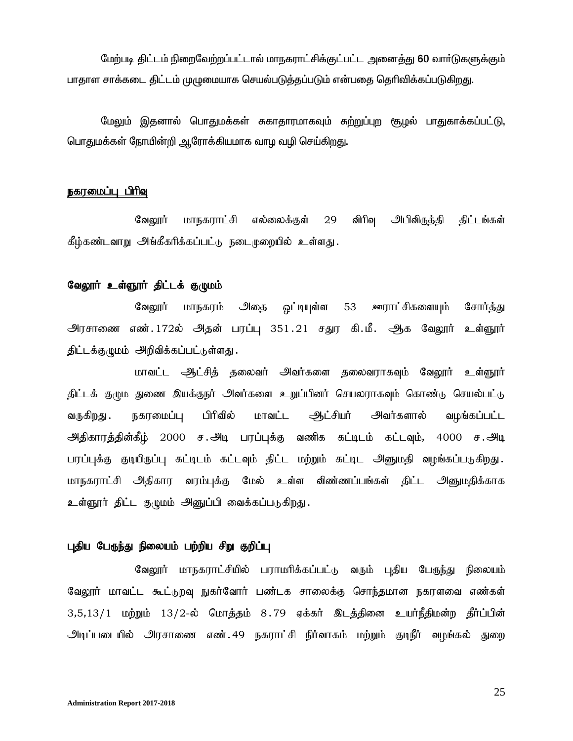மேற்படி திட்டம் நிறைவேற்றப்பட்டால் மாநகராட்சிக்குட்பட்ட அனைத்து 60 வார்டுகளுக்கும் பாதாள சாக்கடை திட்டம் முழுமையாக செயல்படுத்தப்படும் என்பதை தெரிவிக்கப்படுகிறது.

மேலும் இதனால் பொதுமக்கள் சுகாதாரமாகவும் சு<u>ற்று</u>ப்புற சூழல் பாதுகாக்கப்பட்டு, பொதுமக்கள் நோயின்றி ஆரோக்கியமாக வாழ வழி செய்கிறது.

#### நகரமைப்பு பிரிவு

வேலூர் மாநகராட்சி எல்லைக்குள் 29 விரிவ அபிவிருக்கி கிட்டங்கள் கீழ்கண்டவாறு அங்கீகரிக்கப்பட்டு நடைமுறையில் உள்ளது.

#### வேலூர் உள்ளூர் திட்டக் குழுமம்

வேலூர் மாநகரம் அதை <u>ஒ</u>ட்டியுள்ள 53 ஊராட்சிகளையும் சோர்த்து அரசாணை எண்.172ல் அதன் பரப்பு 351.21 சதுர கி.மீ. ஆக வேலூர் உள்ளூர் திட்டக்குழுமம் அறிவிக்கப்பட்டுள்ளது.

மாவட்ட ஆட்சித் தலைவர் அவர்களை தலைவராகவும் வேலூர் உள்ளூர் திட்டக் குழும துணை இயக்குநர் அவர்களை உறுப்பினர் செயலராகவும் கொண்டு செயல்பட்டு வருகிறது நகரமைப்பு பிரிவில் மாவட்ட ஆட்சியர் அவர்களால் வழங்கப்பட்ட அதிகாரத்தின்கீழ் 2000 ச.அடி பரப்புக்கு வணிக கட்டிடம் கட்டவும், 4000 ச.அடி பரப்புக்கு குடியிருப்பு கட்டிடம் கட்டவும் திட்ட மற்றும் கட்டிட அனுமதி வழங்கப்படுகிறது. மாநகராட்சி அதிகார வரம்புக்கு மேல் உள்ள விண்ணப்பங்கள் திட்ட அ<u>னு</u>மதிக்காக உள்ளூர் திட்ட குழுமம் அனுப்பி வைக்கப்படுகிறது.

#### புதிய பேருந்து நிலையம் பற்றிய சிறு குறிப்பு

வேலூர் மாநகராட்சியில் பராமரிக்கப்பட்டு வரும் புதிய பேருந்து நிலையம் வேலூர் மாவட்ட கூட்டுறவு நுகர்வோர் பண்டக சாலைக்கு சொந்தமான நகரளவை எண்கள்  $3,5,13/1$  மற்றும்  $13/2$ -ல் மொத்தம்  $8.79$  ஏக்கர் இடத்தினை உயர்நீதிமன்ற தீர்ப்பின் அடிப்படையில் அரசாணை எண்.49 நகராட்சி நிர்வாகம் மற்றும் குடிநீர் வழங்கல் துறை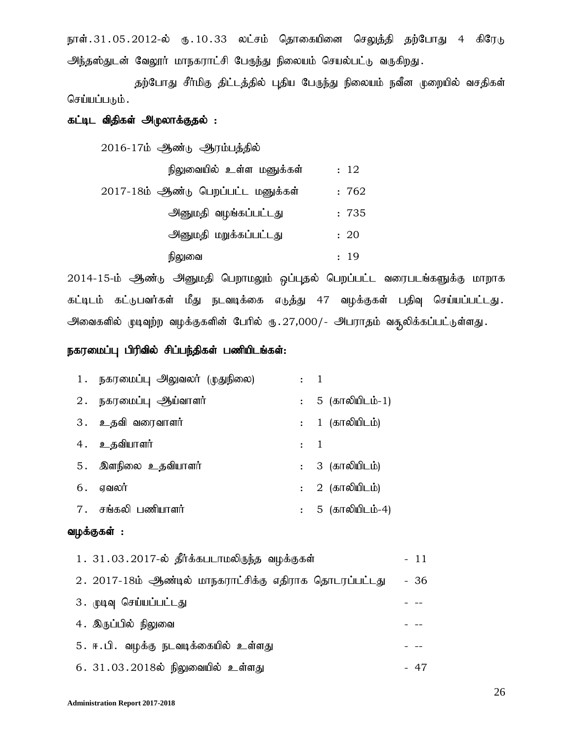நாள்.31.05.2012-ல் ரு.10.33 லட்சம் தொகையினை செலுத்தி தற்போது 4 கிரேடு அந்தஸ்துடன் வேலூர் மாநகராட்சி பேருந்து நிலையம் செயல்பட்டு வருகிறது.

தற்போது சீர்மிகு திட்டத்தில் புதிய பேருந்து நிலையம் நவீன முறையில் வசதிகள் செய்யப்படும்.

# கட்டிட விதிகள் அ<sub></sub>முலாக்குதல் :

 $2016 - 17$ ம் ஆண்டு ஆரம்பத்தில்

| நிலுவையில் உள்ள மனுக்கள்           | : 12  |
|------------------------------------|-------|
| 2017-18ம் ஆண்டு பெறப்பட்ட மனுக்கள் | : 762 |
| அனுமதி வழங்கப்பட்டது               | :735  |
| அனுமதி மறுக்கப்பட்டது              | : 20  |
| நிலுவை                             | : 19  |

2014-15-ம் ஆண்டு அனுமதி பெறாமலும் ஒப்புதல் பெறப்பட்ட வரைபடங்களுக்கு மாறாக கட்டிடம் கட்டுபவர்கள் மீது நடவடிக்கை எடுத்து 47 வழக்குகள் பதிவு செய்யப்பட்டது. அவைகளில் முடிவுற்ற வழக்குகளின் பேரில் ரு. $27,000/$ - அபராதம் வசூலிக்கப்பட்டுள்ளது.

### நகரமைப்பு பிரிவில் சிப்பந்திகள் பணியிடங்கள்:

| 1 . நகரமைப்பு அலுவலர் (முதுநிலை) | $\cdot$ 1        |                   |
|----------------------------------|------------------|-------------------|
| 2. நகரமைப்பு ஆய்வாளர்            |                  | : 5 (காலியிடம்-1) |
| 3. உதவி வரைவாளர்                 |                  | : 1 (காலியிடம்)   |
| 4. உதவியாளர்                     | $\colon \quad 1$ |                   |
| 5. இளநிலை உதவியாளர்              |                  | : 3 (காலியிடம்)   |
| $6.$ ஏவலர்                       |                  | : 2 (காலியிடம்)   |
| 7 . சங்கலி பணியாளர்              |                  | : 5 (காலியிடம்-4) |

#### வழக்குகள் :

| 1.31.03.2017-ல் தீர்க்கபடாமலிருந்த வழக்குகள்            | $-11$ |
|---------------------------------------------------------|-------|
| 2. 2017-18ம் ஆண்டில் மாநகராட்சிக்கு எதிராக தொடரப்பட்டது | - 36  |
| 3. முடிவு செய்யப்பட்டது                                 |       |
| 4. இருப்பில் நிலுவை                                     |       |
| 5. ஈ.பி. வழக்கு நடவடிக்கையில் உள்ளது                    |       |
| 6. 31.03.2018ல் நிலுவையில் உள்ளது                       | - 47  |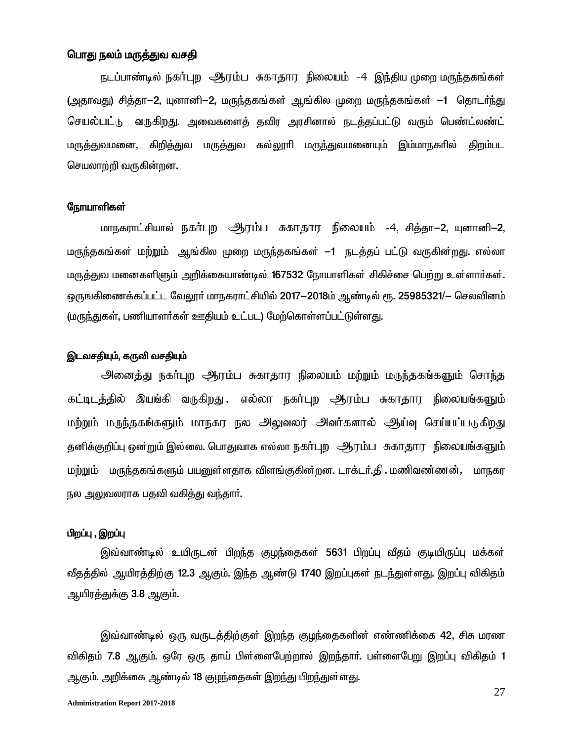#### <u>பொது நலம் மருத்துவ வசதி</u>

நடப்பாண்டில் நகர்புற ஆரம்ப சுகாதார நிலையம் -4 இந்திய முறை மருந்தகங்கள் (அதாவது) சித்தா-2, யுனானி-2, மருந்தகங்கள் ஆங்கில முறை மருந்தகங்கள் -1 தொடர்ந்து செயல்பட்டு வருகிறது. அவைகளைத் தவிர அரசினால் நடத்தப்பட்டு வரும் பெண்ட்லண்ட் மருத்துவமனை, கிறித்துவ மருத்துவ கல்லூரி மருந்துவமனையும் இம்மாநகரில் கிறம்பட செயலாற்றி வருகின்றன.

#### நோயாளிகள்

மாநகராட்சியால் நகர்புற ஆரம்ப சுகாதார நிலையம் -4, சித்தா-2, யுனானி-2, மருந்தகங்கள் மற்றும் ஆங்கில முறை மருந்தகங்கள் —1 நடத்தப் பட்டு வருகின்றது. எல்லா மருத்துவ மனைகளிளும் அறிக்கையாண்டில் 167532 நோயாளிகள் சிகிச்சை பெற்று உள்ளார்கள். ஒருஙகிணைக்கப்பட்ட வேலூர் மாநகராட்சியில் 2017—2018ம் ஆண்டில் ரூ. 25985321/— செலவினம் (மருந்துகள், பணியாளர்கள் ஊதியம் உட்பட) மேற்கொள்ளப்பட்டுள்ளது.

#### இடவசதியும், கருவி வசதியும்

<u> அனைத்து நகர்புற ஆரம்ப சுகாதார நிலையம் மற்றும் மருந்தகங்களும் சொந்த</u> கட்டிடத்தில் இயங்கி வருகிறது .எல்லா நகர்புற ஆரம்ப சுகாதார நிலையங்களும் மற்றும் மருந்தகங்களும் மாநகர நல அலுவலர் அவர்களால் ஆய்வு செய்யப்படுகிறது தனிக்குறிப்பு ஒன்றும் இல்லை. பொதுவாக எல்லா நகர்புற ஆரம்ப சுகாதார நிலையங்களும் மற்றும் மருந்தகங்களும் பயனுள்ளதாக விளங்குகின்றன. டாக்டர்.தி . மணிவண்ணன், மாநகர நல அலுவலராக பதவி வகித்து வந்தார்.

#### பிறப்பு , இறப்பு

இவ்வாண்டில் உயிருடன் பிறந்த குழந்தைகள் 5631 பிறப்பு வீதம் குடியிருப்பு மக்கள் வீதத்தில் ஆயிரத்திற்கு 12.3 ஆகும். இந்த ஆண்டு 1740 இறப்புகள் நடந்துள்ளது. இறப்பு விகிதம் ஆயிர<u>த்து</u>க்கு 3.8 ஆகும்.

இவ்வாண்டில் ஒரு வருடத்திற்குள் இறந்த குழந்தைகளின் எண்ணிக்கை 42, சிசு மரண விகிதம் 7.8 ஆகும். ஒரே ஒரு தாய் பிள்ளைபேற்றால் இறந்தாா். பள்ளைபேறு இறப்பு விகிதம் 1 ஆகும். அறிக்கை ஆண்டில் 18 குழந்தைகள் இறந்து பிறந்துள்ளது.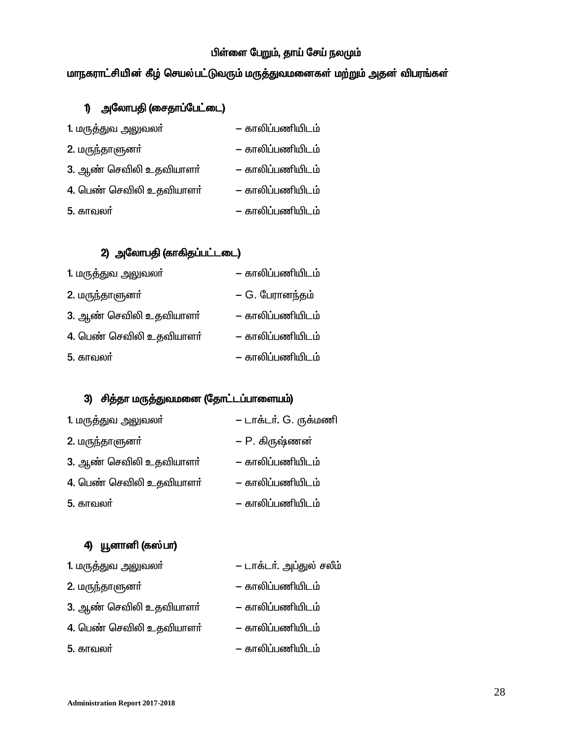### பிள்ளை பேறும், தாய் சேய் நலமும்

### மாநகராட்சியின் கீழ் செயல்பட்டுவரும் மருத்துவமனைகள் மற்றும் அதன் விபரங்கள்

# 1) அலோபதி (சைதாப்பேட்டை)

| 1. மருத்துவ அலுவலா்      | — காலிப்பணியிடம் |
|--------------------------|------------------|
| 2. மருந்தாளுனர்          | — காலிப்பணியிடம் |
| 3. ஆண் செவிலி உதவியாளர்  | — காலிப்பணியிடம் |
| 4. பெண் செவிலி உதவியாளர் | — காலிப்பணியிடம் |
| 5. காவலர்                | — காலிப்பணியிடம் |

### 2) அலோபதி (காகிதப்பட்டடை)

| 1. மருத்துவ அலுவலா்      | – காலிப்பணியிடம் |
|--------------------------|------------------|
| 2. மருந்தாளுனர்          | – G. பேரானந்தம்  |
| 3. ஆண் செவிலி உதவியாளா்  | — காலிப்பணியிடம் |
| 4. பெண் செவிலி உதவியாளர் | — காலிப்பணியிடம் |
| 5. காவலர்                | — காலிப்பணியிடம் |

# 3) சித்தா மருத்துவமனை (தோட்டப்பாளையம்)

| 1. மருத்துவ அலுவலா்      | – டாக்டர். G. ருக்மணி |
|--------------------------|-----------------------|
| 2. மருந்தாளுனா்          | – P. கிருஷ்ணன்        |
| 3. ஆண் செவிலி உதவியாளா்  | — காலிப்பணியிடம்      |
| 4. பெண் செவிலி உதவியாளர் | — காலிப்பணியிடம்      |
| 5. காவலா்                | — காலிப்பணியிடம்      |

### 4) யூனானி (கஸ்பா)

| 1. மருத்துவ அலுவலா்      | — டாக்டர். அப்துல் சலீம் |
|--------------------------|--------------------------|
| 2. மருந்தாளுனர்          | — காலிப்பணியிடம்         |
| 3. ஆண் செவிலி உதவியாளா்  | — காலிப்பணியிடம்         |
| 4. பெண் செவிலி உதவியாளர் | — காலிப்பணியிடம்         |
| 5. காவலர்                | — காலிப்பணியிடம்         |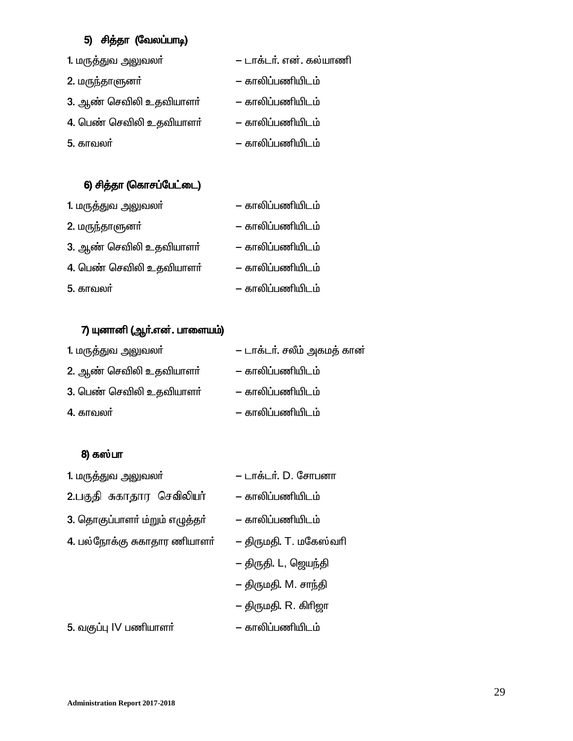## 5) சித்தா (வேலப்பாடி)

| 1. மருத்துவ அலுவலா்      | — டாக்டர். என். கல்யாணி |
|--------------------------|-------------------------|
| 2. மருந்தாளுனர்          | — காலிப்பணியிடம்        |
| 3. ஆண் செவிலி உதவியாளா்  | — காலிப்பணியிடம்        |
| 4. பெண் செவிலி உதவியாளர் | — காலிப்பணியிடம்        |
| 5. காவலர்                | — காலிப்பணியிடம்        |

### 6) சித்தா (கொசப்பேட்டை)

| 1. மருத்துவ அலுவலா்      | — காலிப்பணியிடம் |
|--------------------------|------------------|
| 2. மருந்தாளுனர்          | — காலிப்பணியிடம் |
| 3. ஆண் செவிலி உதவியாளா்  | — காலிப்பணியிடம் |
| 4. பெண் செவிலி உதவியாளர் | — காலிப்பணியிடம் |
| 5. காவலர்                | — காலிப்பணியிடம் |

## 7) யுனானி (ஆர்.என். பாளையம்)

| 1. மருத்துவ அலுவலா்      | — டாக்டர். சலீம் அகமத் கான் |
|--------------------------|-----------------------------|
| 2. ஆண் செவிலி உதவியாளா்  | — காலிப்பணியிடம்            |
| 3. பெண் செவிலி உதவியாளர் | — காலிப்பணியிடம்            |
| 4. காவலா்                | — காலிப்பணியிடம்            |

### 8) கஸ்பா

| 1. மருத்துவ அலுவலா்            | – டாக்டர். D. சோபனா    |  |
|--------------------------------|------------------------|--|
| 2.பகுதி சுகாதார செவிலியர்      | — காலிப்பணியிடம்       |  |
| 3. தொகுப்பாளர் ம்றும் எழுத்தர் | — காலிப்பணியிடம்       |  |
| 4. பல்நோக்கு சுகாதார ணியாளா்   | – திருமதி. T. மகேஸ்வரி |  |
|                                | – திருதி. L, ஜெயந்தி   |  |
|                                | – திருமதி. M. சாந்தி   |  |
|                                | – திருமதி. R. கிரிஜா   |  |
|                                |                        |  |

5. tF¥ò IV gâahs® - fhè¥gâæl«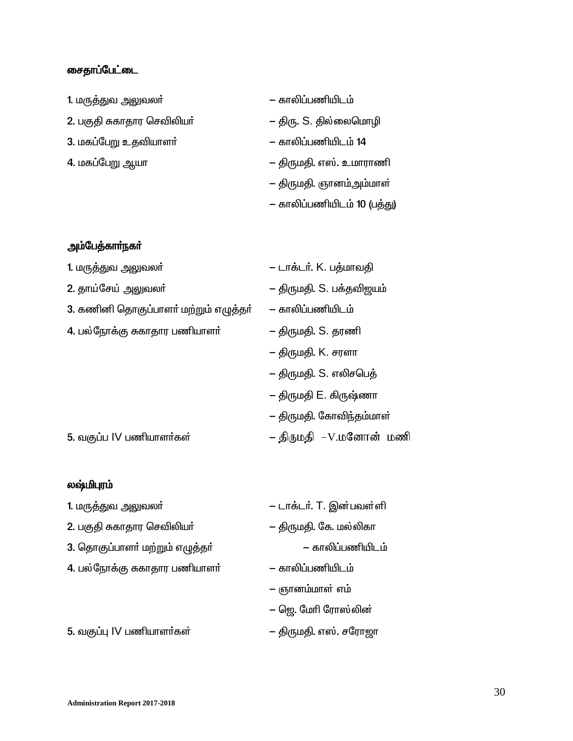### ைசதாப்பேட்டை

| 1. மருத்துவ அலுவலா்        | — காலிப்பணியிடம்            |  |
|----------------------------|-----------------------------|--|
| 2. பகுதி சுகாதார செவிலியா் | – திரு. S. தில்லைமொழி       |  |
| 3. மகப்பேறு உதவியாளா்      | — காலிப்பணியிடம் 14         |  |
| 4. மகப்பேறு ஆயா            | – திருமதி. எஸ். உமாராணி     |  |
|                            | — திருமதி. ஞானம்அம்மாள்     |  |
|                            | – காலிப்பணியிடம் 10 (பத்து) |  |

# அம்பேத்காா்நகா்

| 1. மருத்துவ அலுவலா்                   | – டாக்டர். K. பத்மாவதி   |  |
|---------------------------------------|--------------------------|--|
| 2. தாய்சேய் அலுவலா்                   | – திருமதி. S. பக்தவிஜயம் |  |
| 3. கணினி தொகுப்பாளர் மற்றும் எழுத்தர் | — காலிப்பணியிடம்         |  |
| 4. பல்நோக்கு சுகாதார பணியாளா்         | – திருமதி. S. தரணி       |  |
|                                       | – திருமதி. K. சரளா       |  |
|                                       | — திருமதி. S. எலிசபெத்   |  |
|                                       | — திருமதி E. கிருஷ்ணா    |  |
|                                       | – திருமதி. கோவிந்தம்மாள் |  |
| 5. வகுப்ப IV பணியாளர்கள்              | – திருமதி  –V.மனோன் மணி  |  |

### லஷ்மிபுரம்

| 1. மருத்துவ அலுவலா்             | – டாக்டர். T. இன்பவள்ளி |  |
|---------------------------------|-------------------------|--|
| 2. பகுதி சுகாதார செவிலியா்      | — திருமதி. கே. மல்லிகா  |  |
| 3. தொகுப்பாளர் மற்றும் எழுத்தர் | — காலிப்பணியிடம்        |  |
| 4. பல்நோக்கு சுகாதார பணியாளர்   | — காலிப்பணியிடம்        |  |
|                                 | — ஞானம்மாள் எம்         |  |
|                                 | — ஜெ. மேரி ரோஸ்லின்     |  |
|                                 |                         |  |

5. tF¥ò IV gâahs®fs¦ - ÂUkÂ. v[¦. rnuh#h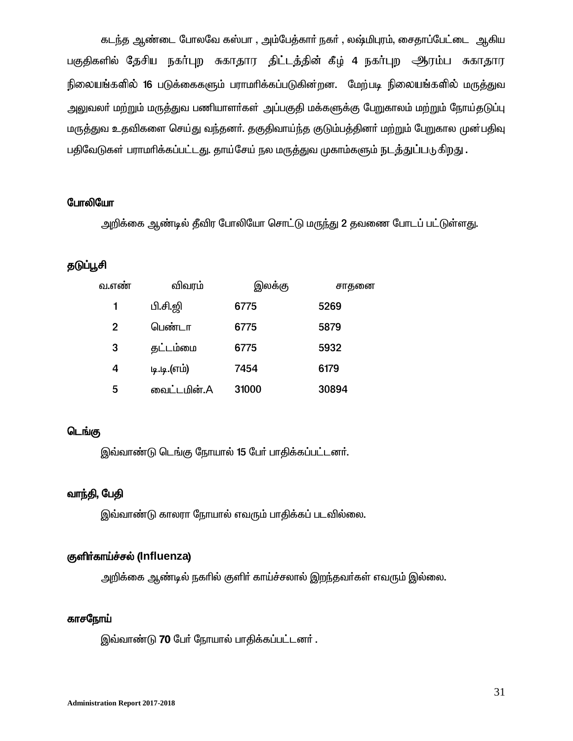கடந்த ஆண்டை போலவே கஸ்பா , அம்பேத்கார் நகர் , லஷ்மிபுரம், சைதாப்பேட்டை ஆகிய பகுதிகளில் தேசிய நகர்புற சுகாதார திட்டத்தின் கீழ் 4 நகர்புற ஆரம்ப சுகாதார நிலையங்களில் 16 படுக்கைகளும் பராமாிக்கப்படுகின்றன. மேற்படி நிலையங்களில் மருத்துவ அலுவலா் மற்றும் மருத்துவ பணியாளா்கள் அப்பகுதி மக்களுக்கு பேறுகாலம் மற்றும் நோய்தடுப்பு மருத்துவ உதவிகளை செய்து வந்தனர். தகுதிவாய்ந்த குடும்பத்தினர் மற்றும் பேறுகால முன்பதிவு பதிவேடுகள் பராமரிக்கப்பட்டது. தாய்சேய் நல மருத்துவ முகாம்களும் நடத்துப்படுகிறது .

#### போலியோ

அறிக்கை ஆண்டில் தீவிர போலியோ சொட்டு மருந்து 2 தவணை போடப் பட்டுள்ளது.

### தடுப்பூசி

| வ.எண் | விவரம்      | இலக்கு | சாதனை |
|-------|-------------|--------|-------|
| 1     | பி.சி.ஜி    | 6775   | 5269  |
| 2     | பெண்டா      | 6775   | 5879  |
| 3     | தட்டம்மை    | 6775   | 5932  |
| 4     | டி.டி.(எம்) | 7454   | 6179  |
| 5     | வைட்டமின்.A | 31000  | 30894 |

#### டெங்கு

இவ்வாண்டு டெங்கு நோயால் 15 பேர் பாதிக்கப்பட்டனர்.

### வாந்தி, பேதி

இவ்வாண்டு காலரா நோயால் எவரும் பாதிக்கப் படவில்லை.

### குளிர்காய்ச்சல் (Influenza)

அறிக்கை ஆண்டில் நகரில் குளிர் காய்ச்சலால் இறந்தவர்கள் எவரும் இல்லை.

#### காசநோய்

இவ்வாண்டு 70 பேர் நோயால் பாதிக்கப்பட்டனர்.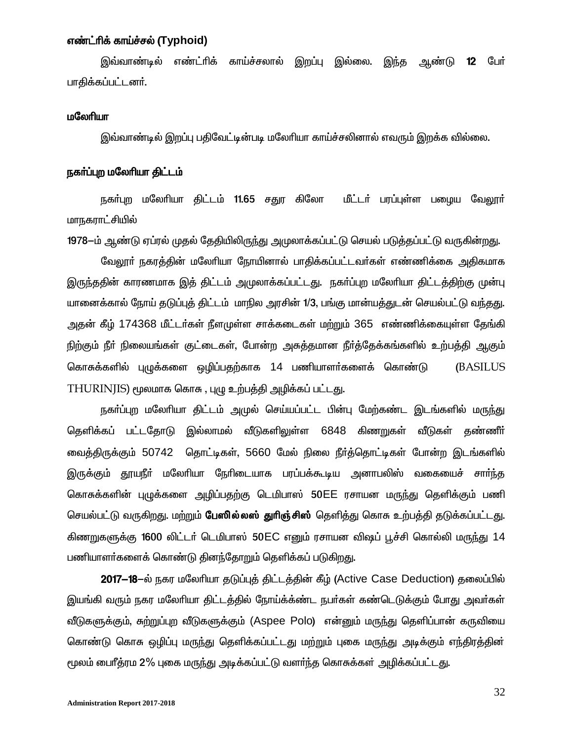#### எண்ட்ரிக் காய்ச்சல் (Typhoid)

<u>இவ்வாண்டில் எண்ட்ரிக் காய்ச்சலால்</u> இறப்பு இல்லை. இந்த ஆண்டு  $12$ பேர் பாதிக்கப்பட்டனர்.

#### மலேரியா

இவ்வாண்டில் இறப்பு பதிவேட்டின்படி மலேரியா காய்ச்சலினால் எவரும் இறக்க வில்லை.

#### நகர்ப்புற மலேரியா திட்டம்

நகா்புற மலேரியா திட்டம் 11.65 சதுர கிலோ மீட்டா் பரப்புள்ள பழைய வேலூா் மாநகராட்சியில்

1978—ம் ஆண்டு ஏப்ரல் முதல் தேதியிலிருந்து அமுலாக்கப்பட்டு செயல் படுத்தப்பட்டு வருகின்றது.

வேலூா் நகரத்தின் மலோியா நோயினால் பாதிக்கப்பட்டவா்கள் எண்ணிக்கை அதிகமாக இருந்ததின் காரணமாக இத் திட்டம் அமுலாக்கப்பட்டது. நகா்ப்புற மலோியா திட்டத்திற்கு முன்பு யானைக்கால் நோய் தடுப்புத் திட்டம் மாநில அரசின் 1/3, பங்கு மான்யத்துடன் செயல்பட்டு வந்தது. அதன் கீழ் 174368 மீட்டர்கள் நீளமுள்ள சாக்கடைகள் மற்றும் 365 எண்ணிக்கையுள்ள தேங்கி நிற்கும் நீா் நிலையங்கள் குட்டைகள், போன்ற அசுத்தமான நீா்த்தேக்கங்களில் உற்பத்தி ஆகும் கொசுக்களில் புமுக்களை ஒழிப்பதற்காக 14 பணியாளர்களைக் கொண்டு **(BASILUS** THURINJIS) மூலமாக கொசு , புழு உற்பத்தி அழிக்கப் பட்டது.

நகா்ப்புற மலோியா திட்டம் அமுல் செய்யப்பட்ட பின்பு மேற்கண்ட இடங்களில் மருந்து தெளிக்கப் பட்டதோடு இல்லாமல் வீடுகளிலுள்ள 6848 கிணறுகள் வீடுகள் தண்ணீர் வைத்திருக்கும் 50742 தொட்டிகள், 5660 மேல் நிலை நீா்த்தொட்டிகள் போன்ற இடங்களில் இருக்கும் தூயநீா் மலோியா நோிடையாக பரப்பக்கூடிய அனாபலிஸ் வகையைச் சாா்ந்த கொசுக்களின் புமுக்களை அழிப்பதற்கு டெமிபாஸ் 50EE ரசாயன மருந்து தெளிக்கும் பணி செயல்பட்டு வருகிறது. மற்றும் **பேஸில்லஸ் துரிஞ்சிஸ்** தெளித்து கொசு உற்பத்தி தடுக்கப்பட்டது. கிணறுகளுக்கு 1600 லிட்டர் டெமிபாஸ் 50EC எனும் ரசாயன விஷப் பூச்சி கொல்லி மருந்து 14 பணியாளா்களைக் கொண்டு தினந்தோறும் தெளிக்கப் படுகிறது.

2017–18-ல் நகர மலேரியா தடுப்புத் திட்டத்தின் கீழ் (Active Case Deduction) தலைப்பில் இயங்கி வரும் நகர மலேரியா திட்டத்தில் நோய்க்க்ண்ட நபர்கள் கண்டெடுக்கும் போது அவர்கள் வீடுகளுக்கும், சுற்றுப்புற வீடுகளுக்கும் (Aspee Polo) என்னும் மருந்து தெளிப்பான் கருவியை கொண்டு கொசு ஒழிப்பு மருந்து தெளிக்கப்பட்டது மற்றும் புகை மருந்து அடிக்கும் எந்திரத்தின் மூலம் பைரீத்ரம 2% புகை மருந்து அடிக்கப்பட்டு வளர்ந்த கொசுக்கள் அழிக்கப்பட்டது.

32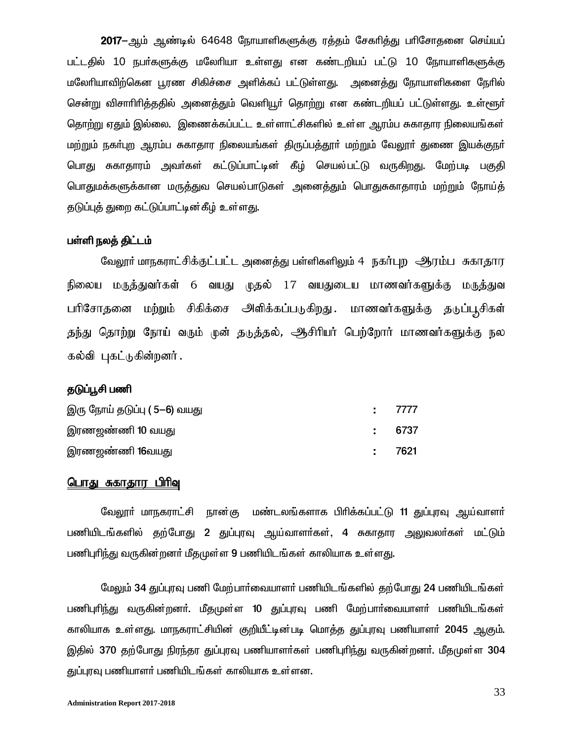2017–ஆம் ஆண்டில் 64648 நோயாளிகளுக்கு ரத்தம் சேகரித்து பரிசோதனை செய்யப் பட்டதில் 10 நபர்களுக்கு மலேரியா உள்ளது என கண்டறியப் பட்டு 10 நோயாளிகளுக்கு மலேரியாவிற்கென பூரண சிகிச்சை அளிக்கப் பட்டுள்ளது. அனைக்து நோயாளிகளை நேரில் சென்று விசாரிரித்ததில் அனைத்தும் வெளியூர் தொற்று என கண்டறியப் பட்டுள்ளது. உள்ளூர் தொற்று ஏதும் இல்லை. இணைக்கப்பட்ட உள்ளாட்சிகளில் உள்ள ஆரம்ப சுகாதார நிலையங்கள் மற்றும் நகா்புற ஆரம்ப சுகாதார நிலையங்கள் திருப்பத்தூா் மற்றும் வேலூா் துணை இயக்குநா் பொது சுகாதாரம் அவர்கள் கட்டுப்பாட்டின் கீழ் செயல்பட்டு வருகிறது. மேற்படி பகுதி <u>பொதுமக்களுக்கான மருத்துவ செயல்பாடுகள் அனைத்தும் பொதுசுகாதாரம் மற்றும் நோய்த்</u> தடுப்புத் துறை கட்டுப்பாட்டின்கீழ் உள்ளது.

#### பள்ளி நலத் திட்டம்

வேலூர் மாநகராட்சிக்குட்பட்ட அனைத்து பள்ளிகளிலும் 4 நகர்புற ஆரம்ப சுகாதார நிலைய மருத்துவர்கள் 6 வயது முதல் 17 வயதுடைய மாணவர்களுக்கு மருத்துவ பரிசோதனை மற்றும் சிகிக்சை அளிக்கப்படுகிறது. மாணவர்களுக்கு தடுப்பூசிகள் தந்து தொற்று நோய் வரும் முன் தடுத்தல், ஆசிரியர் பெற்றோர் மாணவர்களுக்கு நல கல்வி புகட்டுகின்றனர்.

#### தடுப்பூசி பணி

| இரு நோய் தடுப்பு ( 5—6) வயது | : 7777 |
|------------------------------|--------|
| இரணஜண்ணி 10 வயது             | : 6737 |
| இரணஜண்ணி <b>16</b> வயது      | : 7621 |

#### பொது சுகாதார பிரிவு

வேலூா் மாநகராட்சி நான்கு மண்டலங்களாக பிாிக்கப்பட்டு 11 துப்புரவு ஆய்வாளா் பணியிடங்களில் தற்போது 2 துப்புரவு ஆய்வாளர்கள், 4 சுகாதார அலுவலர்கள் மட்டும் பணிபுரிந்து வருகின்றனர் மீதமுள்ள 9 பணியிடங்கள் காலியாக உள்ளது.

மேலும் 34 துப்புரவு பணி மேற்பார்வையாளர் பணியிடங்களில் தற்போது 24 பணியிடங்கள் பணிபுரிந்து வருகின்றனர். மீதமுள்ள 10 துப்புரவு பணி மேற்பார்வையாளர் பணியிடங்கள் காலியாக உள்ளது. மாநகராட்சியின் குறியீட்டின்படி மொக்கு துப்புரவு பணியாளர் 2045 ஆகும். இதில் 370 தற்போது நிரந்தர துப்புரவு பணியாளர்கள் பணிபுரிந்து வருகின்றனர். மீதமுள்ள 304 துப்புரவு பணியாளர் பணியிடங்கள் காலியாக உள்ளன.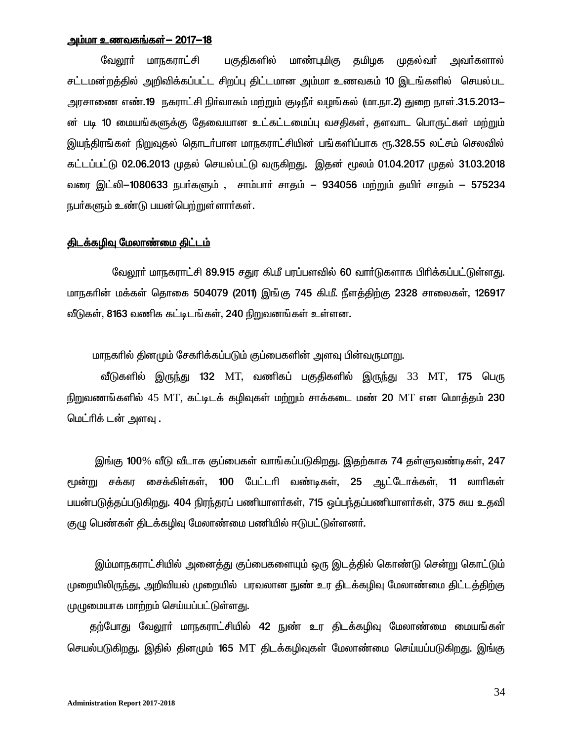#### <u>அம்மா உணவகங்கள்— 2017—18 </u>

வேலூா் மாநகராட்சி பகுதிகளில் மாண்புமிகு தமிழக முதல்வா் அவா்களால் சட்டமன்றத்தில் அறிவிக்கப்பட்ட சிறப்பு திட்டமான அம்மா உணவகம் 10 இடங்களில் செயல்பட அரசாணை எண்.19 நகராட்சி நிர்வாகம் மற்றும் குடிநீர் வழங்கல் (மா.நா.2) துறை நாள்.31.5.2013− ன் படி 10 மையங்களுக்கு தேவையான உட்கட்டமைப்பு வசதிகள், தளவாட பொருட்கள் மற்றும் இயந்திரங்கள் நிறுவுதல் தொடர்பான மாநகராட்சியின் பங்களிப்பாக ரூ.328.55 லட்சம் செலவில் கட்டப்பட்டு 02.06.2013 முதல் செயல்பட்டு வருகிறது. இதன் மூலம் 01.04.2017 முதல் 31.03.2018 வரை இட்லி-1080633 நபர்களும் , சாம்பார் சாதம் – 934056 மற்றும் தயிர் சாதம் – 575234 நபா்களும் உண்டு பயன்பெற்றுள்ளாா்கள்.

#### திடக்கழிவு மேலாண்மை திட்டம்

வேலூர் மாநகராட்சி 89.915 சதுர கி.மீ பரப்பளவில் 60 வார்டுகளாக பிரிக்கப்பட்டுள்ளது. மாநகரின் மக்கள் தொகை 504079 (2011) இங்கு 745 கி.மீ. நீளத்திற்கு 2328 சாலைகள், 126917 வீடுகள், 8163 வணிக கட்டிடங்கள், 240 நிறுவனங்கள் உள்ளன.

மாநகரில் தினமும் சேகரிக்கப்படும் குப்பைகளின் அளவு பின்வருமாறு.

வீடுகளில் இருந்து 132 MT, வணிகப் பகுதிகளில் இருந்து 33 MT, 175 பெரு நிறுவணங்களில் 45 MT, கட்டிடக் கழிவுகள் மற்றும் சாக்கடை மண் 20 MT என மொக்கும் 230 மெட்ரிக் டன் அளவு .

இங்கு 100% வீடு வீடாக குப்பைகள் வாங்கப்படுகிறது. இதற்காக 74 தள்ளுவண்டிகள், 247  $\epsilon$ முன்று சக்கர சைக்கிள்கள், 100 பேட்டரி வண்டிகள், 25 ஆட்டோக்கள், 11 லாரிகள் பயன்படுத்தப்படுகிறது. 404 நிரந்தரப் பணியாளர்கள், 715 ஒப்பந்தப்பணியாளர்கள், 375 சுய உதவி குழு பெண்கள் திடக்கழிவு மேலாண்மை பணியில் ஈடுபட்டுள்ளனர்.

இம்மாநகராட்சியில் அனைத்து குப்பைகளையும் ஒரு இடத்தில் கொண்டு சென்று கொட்டும் முறையிலிருந்து, அறிவியல் முறையில் பரவலான நுண் உர திடக்கழிவு மேலாண்மை திட்டத்திற்கு முழுமையாக மாற்றம் செய்யப்பட்டுள்ளது.

தற்போது வேலூா் மாநகராட்சியில் 42 நுண் உர திடக்கழிவு மேலாண்மை மையங்கள் செயல்படுகிறது. இதில் தினமும் 165 MT திடக்கழிவுகள் மேலாண்மை செய்யப்படுகிறது. இங்கு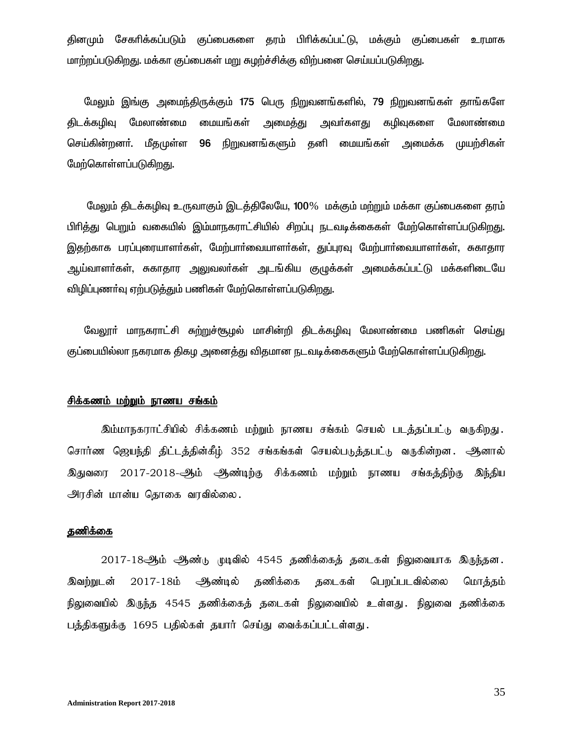தினமும் சேகரிக்கப்படும் குப்பைகளை தரம் பிரிக்கப்பட்டு, மக்கும் குப்பைகள் உரமாக மாற்றப்படுகிறது. மக்கா குப்பைகள் மறு சுழற்ச்சிக்கு விற்பனை செய்யப்படுகிறது.

மேலும் இங்கு அமைந்திருக்கும் 175 பெரு நிறுவனங்களில், 79 நிறுவனங்கள் தாங்களே திடக்கமிவு மேலாண்மை மையங்கள் அமைக்து அவா்களது கமிவுகளை மேலாண்மை 96 நிறுவனங்களும் தனி மையங்கள் அமைக்க செய்கின்றனா். மீதமுள்ள முயற்சிகள் மேற்கொள்ளப்படுகிறது.

மேலும் திடக்கழிவு உருவாகும் இடக்திலேயே, 100% மக்கும் மற்றும் மக்கா குப்பைகளை தரம் பிரித்து பெறும் வகையில் இம்மாநகராட்சியில் சிறப்பு நடவடிக்கைகள் மேற்கொள்ளப்படுகிறது. இதற்காக பரப்புரையாளர்கள், மேற்பார்வையாளர்கள், துப்புரவு மேற்பார்வையாளர்கள், சுகாதார ஆய்வாளா்கள், சுகாதார அலுவலா்கள் அடங்கிய குழுக்கள் அமைக்கப்பட்டு மக்களிடையே விழிப்புணா்வு ஏற்படுத்தும் பணிகள் மேற்கொள்ளப்படுகிறது.

வேலூா் மாநகராட்சி சுற்றுச்சூழல் மாசின்றி திடக்கழிவு மேலாண்மை பணிகள் செய்து குப்பையில்லா நகரமாக திகழ அனைத்து விதமான நடவடிக்கைகளும் மேற்கொள்ளப்படுகிறது.

### சிக்<u>கணம் மற்றும் நாணய சங்கம்</u>

இம்மாநகராட்சியில் சிக்கணம் மற்றும் நாணய சங்கம் செயல் படத்தப்பட்டு வருகிறது. சொர்ண ஜெயந்தி திட்டத்தின்கீழ் 352 சங்கங்கள் செயல்படுத்தபட்டு வருகின்றன. ஆனால் இதுவரை 2017-2018-ஆம் ஆண்டிற்கு சிக்கணம் மற்றும் நாணய சங்கத்திற்கு இந்திய அரசின் மான்ய தொகை வரவில்லை.

#### தணிக்கை

2017-18ஆம் ஆண்டு முடிவில் 4545 தணிக்கைத் தடைகள் நிலுவையாக இருந்தன. ஆண்டில் தணிக்கை தடைகள் பெறப்படவில்லை இவற்றுடன்  $2017 - 18$ ம் மொத்தம் நிலுவையில் இருந்த 4545 தணிக்கைத் தடைகள் நிலுவையில் உள்ளது. நிலுவை தணிக்கை பத்திகளுக்கு 1695 பதில்கள் தயார் செய்து வைக்கப்பட்டள்ளது.

35